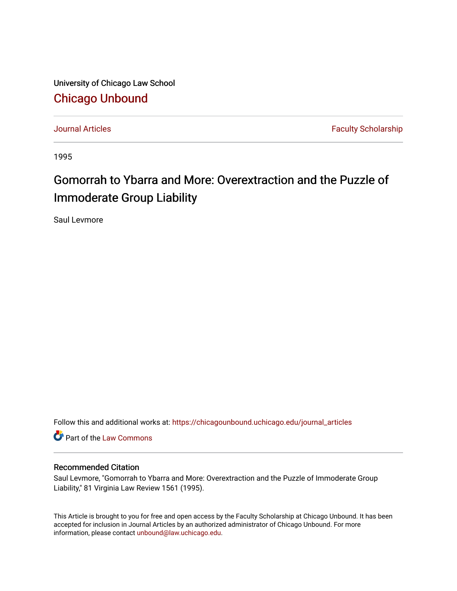University of Chicago Law School [Chicago Unbound](https://chicagounbound.uchicago.edu/)

[Journal Articles](https://chicagounbound.uchicago.edu/journal_articles) **Faculty Scholarship Faculty Scholarship** 

1995

## Gomorrah to Ybarra and More: Overextraction and the Puzzle of Immoderate Group Liability

Saul Levmore

Follow this and additional works at: [https://chicagounbound.uchicago.edu/journal\\_articles](https://chicagounbound.uchicago.edu/journal_articles?utm_source=chicagounbound.uchicago.edu%2Fjournal_articles%2F1606&utm_medium=PDF&utm_campaign=PDFCoverPages) 

Part of the [Law Commons](http://network.bepress.com/hgg/discipline/578?utm_source=chicagounbound.uchicago.edu%2Fjournal_articles%2F1606&utm_medium=PDF&utm_campaign=PDFCoverPages)

## Recommended Citation

Saul Levmore, "Gomorrah to Ybarra and More: Overextraction and the Puzzle of Immoderate Group Liability," 81 Virginia Law Review 1561 (1995).

This Article is brought to you for free and open access by the Faculty Scholarship at Chicago Unbound. It has been accepted for inclusion in Journal Articles by an authorized administrator of Chicago Unbound. For more information, please contact [unbound@law.uchicago.edu](mailto:unbound@law.uchicago.edu).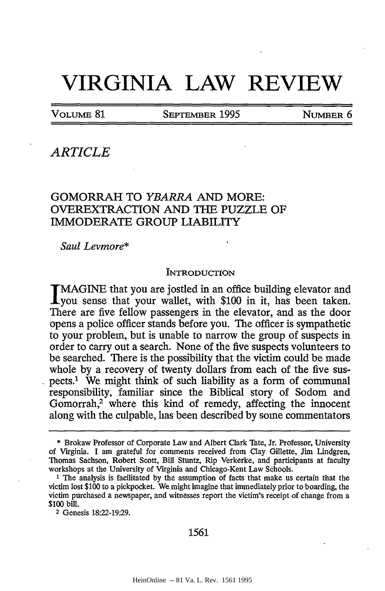# **VIRGINIA LAW REVIEW**

VOLUME 81 SEPTEMBER 1995 NUMBER 6

## *ARTICLE*

## **GOMORRAH TO** *YBARRA* **AND MORE: OVEREXTRACTION AND THE PUZZLE OF IMMODERATE GROUP LIABILITY**

#### *Saul Levmore\**

#### **INTRODUCTION**

MAGINE that you are jostled in an office building elevator and you sense that your wallet, with **\$100** in it, has been taken. There are five fellow passengers in the elevator, and as the door opens a police officer stands before you. The officer is sympathetic to your problem, but is unable to narrow the group of suspects in order to carry out a search. None of the five suspects volunteers to be searched. There is the possibility that the victim could be made whole by a recovery of twenty dollars from each of the five suspects.' We might think of such liability as a form of communal responsibility, familiar since the Biblical story of Sodom and Gomorrah,2 where this kind of remedy, affecting the innocent along with the culpable, has been described **by** some commentators

**2** Genesis 18:22-19:29.

## 1561

<sup>\*</sup> Brokaw Professor of Corporate Law and Albert Clark Tate, Jr. Professor, University of Virginia. I am grateful for comments received from Clay Gillette, Jim Lindgren, Thomas Sachson, Robert Scott, Bill Stuntz, Rip Verkerke, and participants at faculty workshops at the University of Virginia and Chicago-Kent Law Schools.

**<sup>1</sup>** The analysis is facilitated by the assumption of facts that make us certain that the victim lost \$100 to a pickpocket. We might imagine that immediately prior to boarding, the victim purchased a newspaper, and witnesses report the victim's receipt of change from a \$100 bill.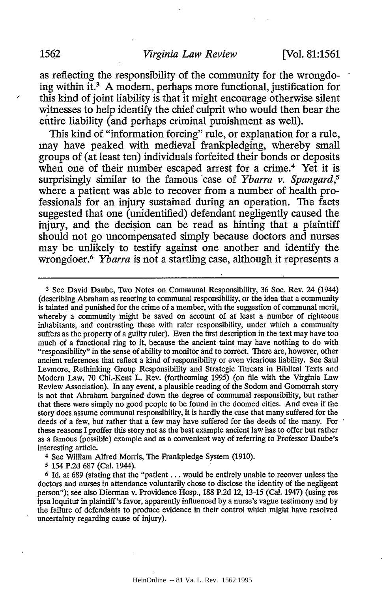as reflecting the responsibility of the community for the wrongdoing within it.3 A modem, perhaps more functional, justification for this kind of joint liability is that it might encourage otherwise silent witnesses to help identify the chief culprit who would then bear the entire liability (and perhaps criminal punishment as well).

This kind of "information forcing" rule, or explanation for a rule, may have peaked with medieval frankpledging, whereby small groups of (at least ten) individuals forfeited their bonds or deposits when one of their number escaped arrest for a crime.<sup>4</sup> Yet it is surprisingly similar to the famous case of *Ybarra v. Spangard,5* where a patient was able to recover from a number of health professionals for an injury sustained during an operation. The facts suggested that one (unidentified) defendant negligently caused the injury, and the decision can be read as hinting that a plaintiff should not go uncompensated simply because doctors and nurses may be unlikely to testify against one another and identify the wrongdoer.6 *Ybarra* is not a startling case, although it represents a

**3** See David Daube, Two Notes on Communal Responsibility, 36 Soc. Rev. 24 (1944) (describing Abraham as reacting to communal responsibility, or the idea that a community is tainted and punished for the crime of a member, with the suggestion of communal merit, whereby a community might be saved on account of at least a number of righteous inhabitants, and contrasting these with ruler responsibility, under which a community suffers as the property of a guilty ruler). Even the first description in the text may have too much of a functional ring to it, because the ancient taint may have nothing to do with "responsibility" in the sense of ability to monitor and to correct. There are, however, other ancient references that reflect a kind of responsibility or even vicarious liability. See Saul Levmore, Rethinking Group Responsibility and Strategic Threats in Biblical Texts and Modern Law, 70 Chi.-Kent L. Rev. (forthcoming 1995) (on file with the Virginia Law Review Association). In any event, a plausible reading of the Sodom and Gomorrah story is not that Abraham bargained down the degree of communal responsibility, but rather that there were simply no good people to be found in the doomed cities. And even if the story does assume communal responsibility, it is hardly the case that many suffered for the deeds of a few, but rather that a few may have suffered for the deeds of the many. For ' these reasons I proffer this story not as the best example ancient law has to offer but rather as a famous (possible) example and as a convenient way of referring to Professor Daube's interesting article.

**4** See William Alfred Morris, The Frankpledge System (1910).

*5* 154 P.2d 687 (Cal. 1944).

**6** Id. at 689 (stating that the "patient... would be entirely unable to recover unless the doctors and nurses in attendance voluntarily chose to disclose the identity of the negligent person"); see also Dierman v. Providence Hosp., 188 P.2d 12, 13-15 (Cal. 1947) (using res ipsa loquitur in plaintiff's favor, apparently influenced by a nurse's vague testimony and by the failure of defendants to produce evidence in their control which might have resolved uncertainty regarding cause of injury).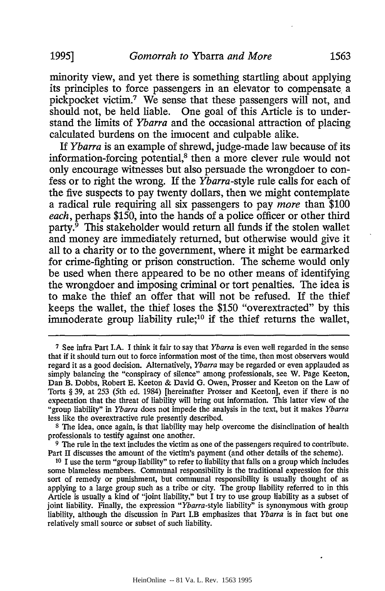calculated burdens on the innocent and culpable alike.

minority view, and yet there is something startling about applying its principles to force passengers in an elevator to compensate a pickpocket victim.<sup>7</sup> We sense that these passengers will not, and should not, be held liable. One goal of this Article is to understand the limits of *Ybarra* and the occasional attraction of placing

If *Ybarra* is an example of shrewd, judge-made law because of its information-forcing potential,<sup>8</sup> then a more clever rule would not only encourage witnesses but also persuade the wrongdoer to confess or to right the wrong. If the *Ybarra-style* rule calls for each of the five suspects to pay twenty dollars, then we might contemplate a radical rule requiring all six passengers to pay *more* than \$100 *each,* perhaps \$150, into the hands of a police officer or other third party. $9$  This stakeholder would return all funds if the stolen wallet and money are immediately returned, but otherwise would give it all to a charity or to the government, where it might be earmarked for crime-fighting or prison construction. The scheme would only be used when there appeared to be no other means of identifying the wrongdoer and imposing criminal or tort penalties. The idea is to make the thief an offer that will not be refused. If the thief keeps the wallet, the thief loses the \$150 "overextracted" by this immoderate group liability rule;<sup>10</sup> if the thief returns the wallet,

**<sup>7</sup>**See infra Part I.A. I think it fair to say that *Ybarra* is even well regarded in the sense that if it should turn out to force information most of the time, then most observers would regard it as a good decision. Alternatively, *Ybarra* may be regarded or even applauded as simply balancing the "conspiracy of silence" among professionals, see W. Page Keeton, Dan B. Dobbs, Robert E. Keeton & David G. Owen, Prosser and Keeton on the Law of Torts § 39, at 253 (5th ed. 1984) [hereinafter Prosser and Keeton], even if there is no expectation that the threat of liability will bring out information. This latter view of the "group liability" in *Ybarra* does not impede the analysis in the text, but it makes *Ybarra* less like the overextractive rule presently described.

**s** The idea, once again, is that liability may help overcome the disinclination of health professionals to testify against one another.

**<sup>9</sup>** The rule in the text includes the victim as one of the passengers required to contribute. Part II discusses the amount of the victim's payment (and other details of the scheme).

**<sup>10</sup>**1 use the term "group liability" to refer to liability that falls on a group which includes some blameless members. Communal responsibility is the traditional expression for this sort of remedy or punishment, but communal responsibility is usually thought of as applying to a large group such as a tribe or city. The group liability referred to in this Article is usually a kind of "joint liability," but I try to use group liability as a subset of joint liability. Finally, the expression *"Ybarra-style* liability" is synonymous with group liability, although the discussion in Part I.B emphasizes that *Ybarra* is in fact but one relatively small source or subset of such liability.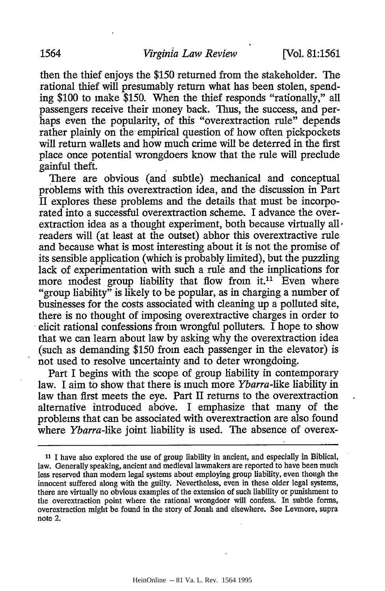then the thief enjoys the \$150 returned from the stakeholder. The rational thief will presumably return what has been stolen, spending \$100 to make \$150. When the thief responds "rationally," all passengers receive their money back. Thus, the success, and perhaps even the popularity, of this "overextraction rule" depends rather plainly on the empirical question of how often pickpockets will return wallets and how much crime will be deterred in the first place once potential wrongdoers know that the rule will preclude gainful theft.

There are obvious (and subtle) mechanical and conceptual problems with this overextraction idea, and the discussion in Part II explores these problems and the details that must be incorporated into a successful overextraction scheme. I advance the overextraction idea as a thought experiment, both because virtually all. readers will (at least at the outset) abhor this overextractive rule and because what is most interesting about it is not the promise of its sensible application (which is probably limited), but the puzzling lack of experimentation with such a rule and the implications for more modest group liability that flow from  $it.^{11}$  Even where "group liability" is likely to be popular, as in charging a number of businesses for the costs associated with cleaning up a polluted site, there is no thought of imposing overextractive charges in order to elicit rational confessions from wrongful polluters. I hope to show that we can learn about law by asking why the overextraction idea (such as demanding \$150 from each passenger in the elevator) is not used to resolve uncertainty and to deter wrongdoing.

Part I begins with the scope of group liability in contemporary law. I aim to show that there is much more *Ybarra-like* liability in law than first meets the eye. Part II returns to the overextraction alternative introduced above. I emphasize that many of the problems that can be associated with overextraction are also found where *Ybarra*-like joint liability is used. The absence of overex-

**<sup>&</sup>quot;I** have also explored the use of group liability in ancient, and especially in Biblical, law. Generally speaking, ancient and medieval lawmakers are reported to have been much less reserved than modem legal systems about employing group liability, even though the innocent suffered along with the guilty. Nevertheless, even in these older legal systems, there are virtually no obvious examples of the extension of such liability or punishment to the overextraction point where the rational wrongdoer will confess. In subtle forms, overextraction might be found in the story of Jonah and elsewhere. See Levmore, supra note 2.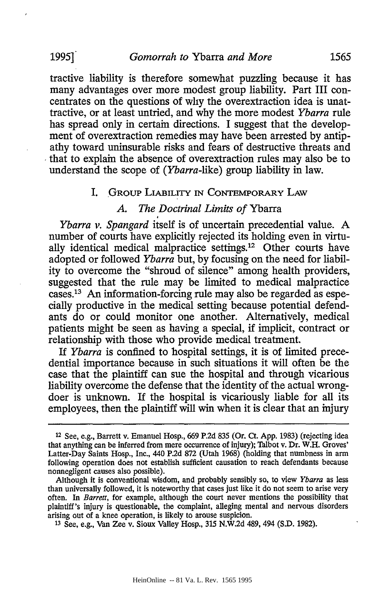tractive liability is therefore somewhat puzzling because it has many advantages over more modest group liability. Part III concentrates on the questions of why the overextraction idea is unattractive, or at least untried, and why the more modest *Ybarra* rule has spread only in certain directions. I suggest that the development of overextraction remedies may have been arrested by antipathy toward uninsurable risks and fears of destructive threats and - that to explain the absence of overextraction rules may also be to understand the scope of *(Ybarra-like)* group liability in law.

#### I. GROUP **LIABILITY** IN CONTEMPORARY LAW

## *A. The Doctrinal Limits of* Ybarra

*Ybarra v. Spangard* itself is of uncertain precedential value. A number of courts have explicitly rejected its holding even in virtually identical medical malpractice settings.<sup>12</sup> Other courts have adopted or followed *Ybarra* but, by focusing on the need for liability to overcome the "shroud of silence" among health providers, suggested that the rule may be limited to medical malpractice cases.<sup>13</sup> An information-forcing rule may also be regarded as especially productive in the medical setting because potential defendants do or could monitor one another. Alternatively, medical patients might be seen as having a special, if implicit, contract or relationship with those who provide medical treatment.

*If Ybarra* is confined to hospital settings, it is of limited precedential importance because in such situations it will often be the case that the plaintiff can sue the hospital and through vicarious liability overcome the defense that the identity of the actual wrongdoer is unknown. If the hospital is vicariously liable for all its employees, then the plaintiff will win when it is clear that an injury

**<sup>13</sup>**See, e.g., Van Zee v. Sioux Valley Hosp., **315** N.W.2d 489, 494 (S.D. 1982).

<sup>12</sup>See, e.g., Barrett v. Emanuel Hosp., 669 P.2d **835** (Or. Ct. App. 1983) (rejecting idea that anything can be inferred from mere occurrence of injury); Talbot v. Dr. W.H. Groves' Latter-Day Saints Hosp., Inc., 440 P.2d 872 (Utah 1968) (holding that numbness in arm following operation does not establish sufficient causation to reach defendants because nonnegligent causes also possible).

Although it is conventional wisdom, and probably sensibly so, to view *Ybarra* as less than universally followed, it is noteworthy that cases just like it do not seem to arise very often. In *Barrett,* for example, although the court never mentions the possibility that plaintiff's injury is questionable, the complaint, alleging mental and nervous disorders arising out of a knee operation, is likely to arouse suspicion.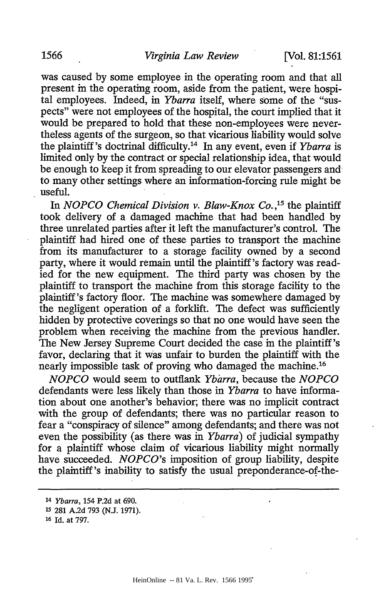was caused by some employee in the operating room and that all present in the operating room, aside from the patient, were hospital employees. Indeed, in *Ybarra* itself, where some of the "suspects" were not employees of the hospital, the court implied that it would be prepared to hold that these non-employees were nevertheless agents of the surgeon, so that vicarious liability would solve the plaintiff's doctrinal difficulty. 4 In any event, even if *Ybarra* is limited only by the contract or special relationship idea, that would be enough to keep it from spreading to our elevator passengers and to many other settings where an information-forcing rule might be useful.

In *NOPCO Chemical Division v. Blaw-Knox Co.,15* the plaintiff took delivery of a damaged machine that had been handled by three unrelated parties after it left the manufacturer's control. The plaintiff had hired one of these parties to transport the machine from its manufacturer to a storage facility owned by a second party, where it would remain until the plaintiff's factory was readied for the new equipment. The third party was chosen by the plaintiff to transport the machine from this storage facility to the plaintiff's factory floor. The machine was somewhere damaged by the negligent operation of a forklift. The defect was sufficiently hidden by protective coverings so that no one would have seen the problem when receiving the machine from the previous handler. The New Jersey Supreme Court decided the case in the plaintiff's favor, declaring that it Was unfair to burden the plaintiff with the nearly impossible task of proving who damaged the machine.<sup>16</sup>

*NOPCO* would seem to outflank *Ybairra,* because the *NOPCO* defendants were less likely than those in *Ybarra* to have information about one another's behavior; there was no implicit contract with the group of defendants; there was no particular reason to fear a "conspiracy of silence" among defendants; and there was not even the possibility (as there was in *Ybarra)* of judicial sympathy for a plaintiff whose claim of vicarious liability might normally have succeeded. *NOPCO's* imposition of group liability, despite the plaintiff's inability to satisfy the usual preponderance-of-the-

<sup>14</sup>*Ybarra,* 154 P.2d at 690.

**<sup>15</sup>**281 A.2d 793 (N.J. 1971).

**<sup>16</sup>**Id. at 797.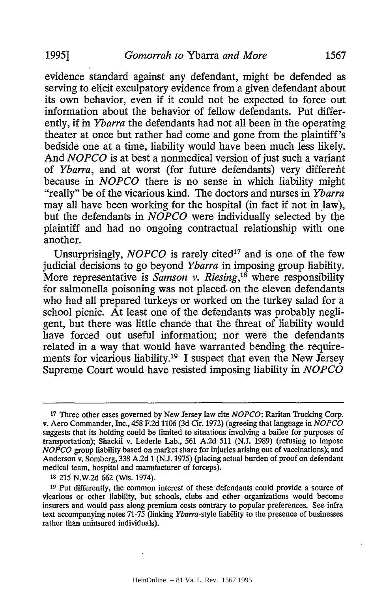evidence standard against any defendant, might be defended as serving to elicit exculpatory evidence from a given defendant about its own behavior, even if it could not be expected to force out information about the behavior of fellow defendants. Put differently, if in *Ybarra* the defendants had not all been in the operating theater at once but rather had come and gone from the plaintiff's bedside one at a time, liability would have been much less likely. And *NOPCO* is at best a nonmedical version of just such a variant of *Ybarra*, and at worst (for future defendants) very different because in *NOPCO* there is no sense in which liability might "really" be of the vicarious kind. The doctors and nurses in *Ybarra* may all have been working for the hospital (in fact if not in law), but the defendants in *NOPCO* were individually selected by the plaintiff and had no ongoing contractual relationship with one another.

Unsurprisingly, *NOPCO* is rarely cited<sup>17</sup> and is one of the few judicial decisions to go beyond *Ybarra* in imposing group liability. More representative is *Samson v. Riesing,'8* where responsibility for salmonella poisoning was not placed- on the eleven defendants who had all prepared turkeys or worked on the turkey salad for a school picnic. At least one of the defendants was probably negligent, but there was little chance that the threat of hability would have forced out useful information; nor were the defendants related in a way that would have warranted bending the requirements for vicarious liability.<sup>19</sup> I suspect that even the New Jersey Supreme Court would have resisted imposing liability in *NOPCO*

**<sup>17</sup>**Three other cases governed by New Jersey law cite *NOPCO:* Raritan Trucking Corp. v. Aero Commander, Inc., 458 F.2d 1106 (3d Cir. 1972) (agreeing that language in *NOPCO* suggests that its holding could be limited to situations involving a bailee for purposes of transportation); Shackil v. Lederle Lab., 561 A.2d 511 (NJ. 1989) (refusing to impose *NOPCO* group liability based on market share for injuries arising out of vaccinations); and Anderson v. Somberg, 338 A.2d 1 (NJ. 1975) (placing actual burden of proof on defendant medical team, hospital and manufacturer of forceps).

**<sup>18</sup>**215 N.W.2d 662 (Wis. 1974).

**<sup>19</sup>**Put differently, the common interest of these defendants could provide a source of vicarious or other liability, but schools, clubs and other organizations would become insurers and would pass along premium costs contrary to popular preferences. See infra text accompanying notes 71-75 (linking *Ybarra-style* liability to the presence of businesses rather than uninsured individuals).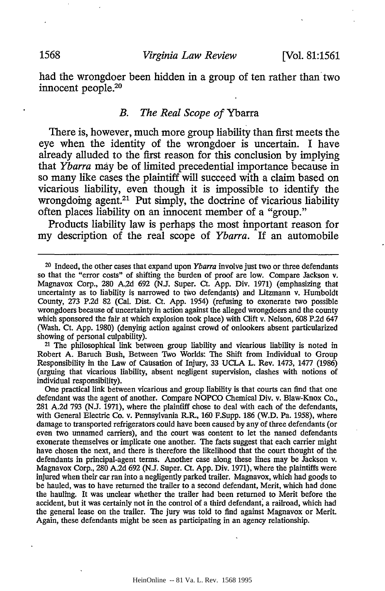had the wrongdoer been hidden in a group of ten rather than two innocent people.2°

#### *B. The Real Scope of* Ybarra

There is, however, much more group liability than first meets the eye when the identity of the wrongdoer is uncertain. I have already alluded to the first reason for this conclusion by implying that *Ybarra* may be of limited precedential importance because in so many like cases the plaintiff will succeed with a claim based on vicarious liability, even though it is impossible to identify the wrongdoing agent.<sup>21</sup> Put simply, the doctrine of vicarious liability often places liability on an innocent member of a "group."

Products liability law is perhaps the most important reason for my description of the real scope of *Ybarra. If* an automobile

21 The philosophical link between group liability and vicarious liability is noted in Robert A. Baruch Bush, Between Two Worlds: The Shift from Individual to Group Responsibility in the Law of Causation of Injury, 33 UCLA L. Rev. 1473, 1477 (1986) (arguing that vicarious liability, absent negligent supervision, clashes with notions of individual responsibility).

One practical link between vicarious and group liability is that courts can find that one defendant was the agent of another. Compare NOPCO Chemical Div. v. Blaw-Knox Co., 281 A.2d 793 (NJ. 1971), where the plainfiff chose to deal with each of the defendants, with General Electric Co. v. Pennsylvania R.R., 160 F.Supp. 186 (W.D. Pa. 1958), where damage to transported refrigerators could have been caused by any of three defendants (or even two unnamed carriers), and the court was content to let the named defendants exonerate themselves or implicate one another. The facts suggest that each carrier might have chosen the next, and there is therefore the likelihood that the court thought of the defendants in principal-agent terms. Another case along these lines may be Jackson v. Magnavox Corp., 280 A.2d 692 (N.J. Super. Ct. App. Div. 1971), where the plaintiffs were injured when their car ran into a negligently parked trailer. Magnavox, which had goods to be hauled, was to have returned the trailer to a second defendant, Merit, which had done the hauling. It was unclear whether the trailer had been returned to Merit before the accident, but it was certainly not in the control of a third defendant, a railroad, which had the general lease on the trailer. The jury was told to find against Magnavox or Merit. Again, these defendants might be seen as participating in an agency relationship.

**<sup>20</sup>**Indeed, the other cases that expand upon *Ybarra* involve just two or three defendants so that the "error costs" of shifting the burden of proof are low. Compare Jackson v. Magnavox Corp., 280 A.2d 692 (N.J. Super. Ct. App. Div. 1971) (emphasizing that uncertainty as to liability is narrowed to two defendants) and Litzmann v. Humboldt County, 273 P.2d 82 (Cal. Dist. Ct. App. 1954) (refusing to exonerate two possible wrongdoers because of uncertainty in action against the alleged wrongdoers and the county which sponsored the fair at which explosion took place) with Clift v. Nelson, 608 P.2d 647 (Wash. Ct. App. 1980) (denying action against crowd of onlookers absent particularized showing of personal culpability).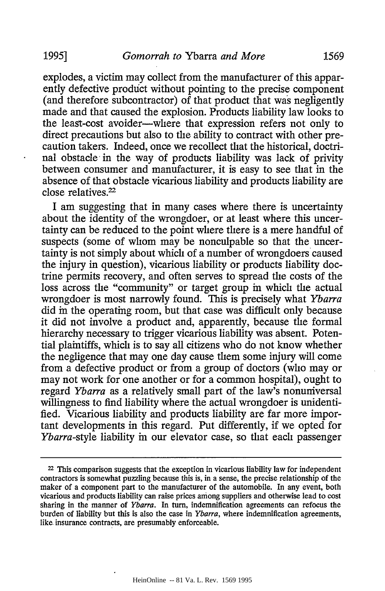explodes, a victim may collect from the manufacturer of this apparently defective product without pointing to the precise component (and therefore subcontractor) of that product that was negligently made and that caused the explosion. Products liability law looks to the least-cost avoider-where that expression refers not only to direct precautions but also to the ability to contract with other precaution takers. Indeed, once we recollect that the historical, doctrinal obstacle in the way of products liability was lack of privity between consumer and manufacturer, it is easy to see that in the absence of that obstacle vicarious liability and products liability are close relatives.<sup>22</sup>

I am suggesting that in many cases where there is uncertainty about the identity of the wrongdoer, or at least where this uncertainty can be reduced to the point where there is a mere handful of suspects (some of whom may be nonculpable so that the uncertainty is not simply about which of a number of wrongdoers caused the injury in question), vicarious liability or products liability doctrine permits recovery, and often serves to spread the costs of the loss across the "community" or target group in which the actual wrongdoer is most narrowly found. This is precisely what *Ybarra* did in the operating room, but that case was difficult only because it did not involve a product and, apparently, because the formal hierarchy necessary to trigger vicarious liability was absent. Potential plaintiffs, which is to say all citizens who do not know whether the negligence that may one day cause them some injury will come from a defective product or from a group of doctors (who may or may not work for one another or for a common hospital), ought to regard *Ybarra* as a relatively small part of the law's nonuniversal willingness to find liability where the actual wrongdoer is unidentified. Vicarious liability and products liability are far more important developments in this regard. Put differently, if we opted for *Ybarra-style* liability in our elevator case, so that each passenger

<sup>&</sup>lt;sup>22</sup> This comparison suggests that the exception in vicarious liability law for independent contractors is somewhat puzzling because this is, in a sense, the precise relationship of the maker of a component part to the manufacturer of the automobile. In any event, both vicarious and products liability can raise prices among suppliers and otherwise lead to cost sharing in the manner of *Ybarra.* In turn, indemnification agreements can refocus the burden of liability but this is also the case in *Ybarra,* where indemnification agreements, like, insurance contracts, are presumably enforceable.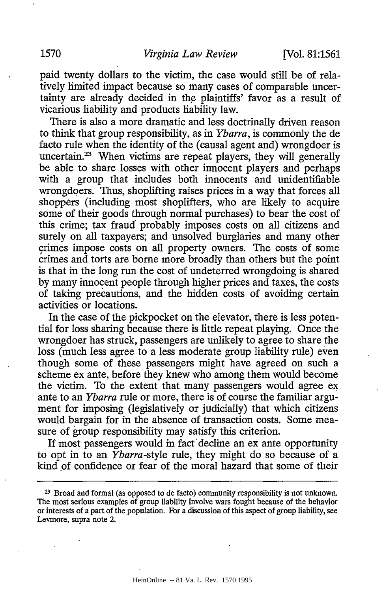paid twenty dollars to the victim, the case would still be of relatively limited impact because so many cases of comparable uncertainty are already decided in the plaintiffs' favor as a result of vicarious liability and products liability law.

There is also a more dramatic and less doctrinally driven reason to think that group responsibility, as in *Ybarra,* is commonly the de facto rule when the identity of the (causal agent and) wrongdoer is uncertain.<sup>23</sup> When victims are repeat players, they will generally be able to share losses with other innocent players and perhaps with a group that includes both innocents and unidentifiable wrongdoers. Thus, shoplifting raises prices in a way that forces all shoppers (including most shoplifters, who are likely to acquire some of their goods through normal purchases) to bear the cost of this crime; tax fraud probably imposes costs on all citizens and surely on all taxpayers; and unsolved burglaries and many other crimes impose costs on all property owners. The costs of some crimes and torts are borne more broadly than others but the point is that in the long run the cost of undeterred wrongdoing is shared by many innocent people through higher prices and taxes, the costs of taking precautions, and the hidden costs of avoiding certain activities or locations.

In the case of the pickpocket on the elevator, there is less potential for loss sharing because there is little repeat playing. Once the wrongdoer has struck, passengers are unlikely to agree to share the loss (much less agree to a less moderate group liability rule) even though some of these passengers might have agreed on such a scheme ex ante, before they knew who among them would become the victim. To the extent that many passengers would agree ex ante to an *Ybarra* rule or more, there is of course the familiar argument for imposing (legislatively or judicially) that which citizens would bargain for in the absence of transaction costs. Some measure of group responsibility may satisfy this criterion.

If most passengers would in fact decline an ex ante opportunity to opt in to an *Ybarra-style* rule, they might do so because of a kind of confidence or fear of the moral hazard that some of their

<sup>23</sup>Broad and formal (as opposed to de facto) community responsibility is not unknown. The most serious examples of group liability involve wars fought because of the behavior or interests of a part of the population. For a discussion of this aspect of group liability, see Levmore, supra note 2.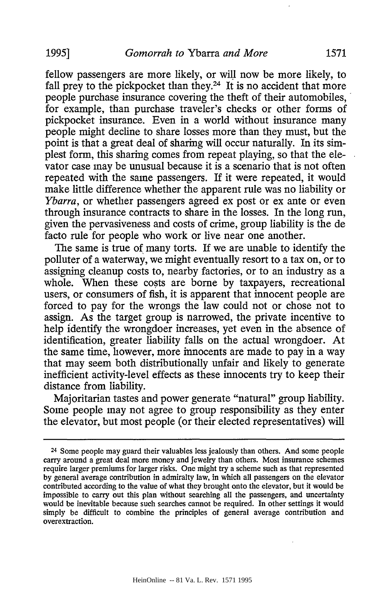fellow passengers are more likely, or will now be more likely, to fall prey to the pickpocket than they.<sup>24</sup> It is no accident that more people purchase insurance covering the theft of their automobiles, for example, than purchase traveler's checks or other forms of pickpocket insurance. Even in a world without insurance many people might decline to share losses more than they must, but the point is that a great deal of sharing will occur naturally. In its simplest form, this sharing comes from repeat playing, so that the elevator case may be unusual because it is a scenario that is not often repeated with the same passengers. If it were repeated, it would make little difference whether the apparent rule was no liability or *Ybarra,* or whether passengers agreed ex post or ex ante or even through insurance contracts to share in the losses. In the long run, given the pervasiveness and costs of crime, group liability is the de facto rule for people who work or live near one another.

The same is true of many torts. If we are unable to identify the polluter of a waterway, we might eventually resort to a tax on, or to assigning cleanup costs to, nearby factories, or to an industry as a whole. When these costs are borne by taxpayers, recreational users, or consumers of fish, it is apparent that innocent people are forced to pay for the wrongs the law could not or chose not to assign. As the target group is narrowed, the private incentive to help identify the wrongdoer increases, yet even in the absence of identification, greater liability falls on the actual wrongdoer. At the same time, however, more innocents are made to pay in a way that may seem both distributionally unfair and likely to generate inefficient activity-level effects as these innocents try to keep their distance from liability.

Majoritarian tastes and power generate "natural" group liability. Some people may not agree to group responsibility as they enter the elevator, but most people (or their elected representatives) will

<sup>24</sup>Some people may guard their valuables less jealously than others. And some people carry around a great deal more money and jewelry than others. Most insurance schemes require larger premiums for larger risks. One might try a scheme such as that represented by general average contribution in admiralty law, in which all passengers on the elevator contributed according to the value of what they brought onto the elevator, but it would be impossible to carry out this plan without searching all the passengers, and uncertainty would be inevitable because such searches cannot be required. In other settings it would simply be difficult to combine the principles of general average contribution and overextraction.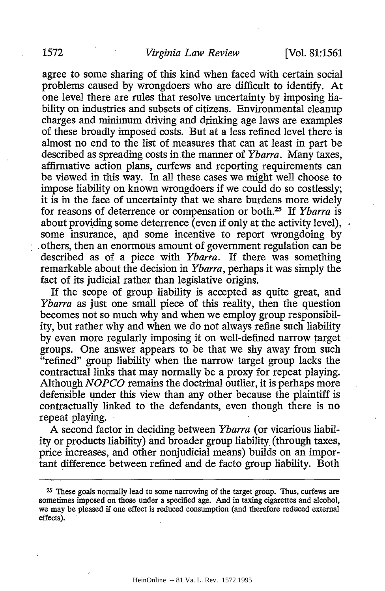agree to some sharing of this kind when faced with certain social problems caused by wrongdoers who are difficult to identify. At one level there are rules that resolve uncertainty by imposing liability on industries and subsets of citizens. Environmental cleanup charges and minimum driving and drinking age laws are examples of these broadly imposed costs. But at a less refined level there is almost no end to the list of measures that can at least in part be described as spreading costs in the manner of *Ybarra*. Many taxes, affirmative action plans, curfews and reporting requirements can be viewed in this way. In all these cases we might well choose to impose liability on known wrongdoers if we could do so costlessly; it is in the face of uncertainty that we share burdens more widely for reasons of deterrence or compensation or both.25 If *Ybarra* is about providing some deterrence (even if only at the activity level), . some insurance, and some incentive to report wrongdoing by others, then an enormous amount of government regulation can be described as of a piece with *Ybarra.* If there was something remarkable about the decision in *Ybarra,* perhaps it was simply the fact of its judicial rather than legislative origins.

If the scope of group liability is accepted as quite great, and *Ybarra* as just one small piece of this reality, then the question becomes not so much why and when we employ group responsibility, but rather why and when we do not always refine such liability by even more regularly imposing it on well-defined narrow target "refined" group liability when the narrow target group lacks the contractual links that may normally be a proxy for repeat playing. Although *NOPCO* remains the doctrinal outlier, it is perhaps more defensible under this view than any other because the plaintiff is contractually linked to the defendants, even though there is no repeat playing.

A second factor in deciding between *Ybarra* (or vicarious liability or products liability) and broader group liability (through taxes, price increases, and other nonjudicial means) builds on an important difference between refined and de facto group liability. Both

**<sup>25</sup>**These goals normally lead to some narrowing of the target group. Thus, curfews are sometimes imposed on those under a specified age. And in taxing cigarettes and alcohol, we may be pleased if one effect is reduced consumption (and therefore reduced external effects).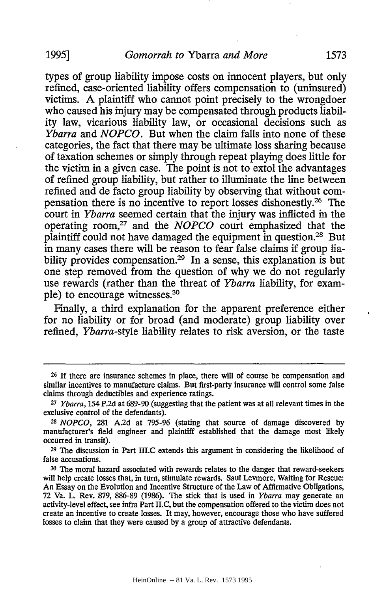types of group liability impose costs on innocent players, but only refined, case-oriented liability offers compensation to (uninsured) victims. A plaintiff who cannot point precisely to the wrongdoer who caused his injury may be compensated through products liability law, vicarious liability law, or occasional decisions such as *Ybarra* and *NOPCO.* But when the claim falls into none of these categories, the fact that there may be ultimate loss sharing because of taxation schemes or simply through repeat playing does little for the victim in a given case. The point is not to extol the advantages of refined group liability, but rather to illuminate the line between refined and de facto group liability by observing that without compensation there is no incentive to report losses dishonestly.26 The court in *Ybarra* seemed certain that the injury was inflicted in the operating room,<sup>27</sup> and the *NOPCO* court emphasized that the plaintiff could not have damaged the equipment in question.<sup>28</sup> But in many cases there will be reason to fear false claims if group liability provides compensation.<sup>29</sup> In a sense, this explanation is but one step removed from the question of why we do not regularly use rewards (rather than the threat of *Ybarra* liability, for example) to encourage witnesses.30

Finally, a third explanation for the apparent preference either for no liability or for broad (and moderate) group liability over refined, *Ybarra-style* liability relates to risk aversion, or the taste

**<sup>26</sup>**If there are insurance schemes in place, there will of course be compensation and similar incentives to manufacture claims. But first-party insurance will control some false claims through deductibles and experience ratings.

**<sup>27</sup>***Ybarra,* 154 P.2d at 689-90 (suggesting that the patient was at all relevant times in the exclusive control of the defendants).

**<sup>28</sup>***NOPCO,* 281 A.2d at 795-96 (stating that source of damage discovered by manufacturer's field engineer and plaintiff established that the damage most likely occurred in transit).

**<sup>29</sup>**The discussion in Part **m.C** extends this argument in considering the likelihood of false accusations.

**<sup>30</sup>**The moral hazard associated with rewards relates to the danger that reward-seekers will help create losses that, in turn, stimulate rewards. Saul Levmore, Waiting for Rescue: An Essay on the Evolution and Incentive Structure of the Law of Affirmative Obligations, 72 Va. L. Rev. 879, 886-89 (1986). The stick that is used in *Ybarra* may generate an activity-level effect, see infra Part II.C, but the compensation offered to the victim does not create an incentive to create losses. It may, however, encourage those who have suffered losses to claim that they were caused by a group of attractive defendants.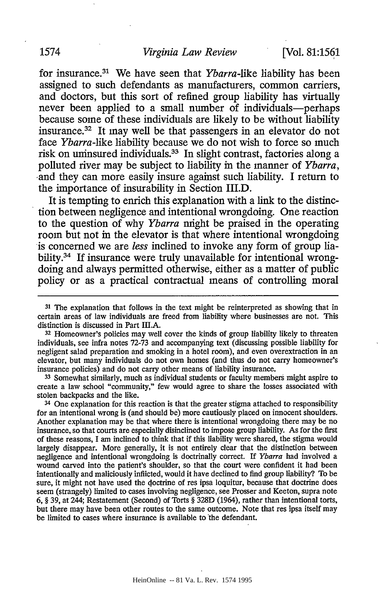for insurance. 31 We have seen that *Ybarra-like* liability has been assigned to such defendants as manufacturers, common carriers, and doctors, but this sort of refined group liability has virtually never been applied to a small number of individuals-perhaps because some of these individuals are likely to be without liability insurance. $32$  It may well be that passengers in an elevator do not face *Ybarra-like* liability because we do not wish to force so much risk on uninsured individuals.<sup>33</sup> In slight contrast, factories along a polluted river may be subject to liability in the manner of *Ybarra,* -and they can more easily insure against such liability. I return to the importance of insurability in Section III.D.

It is tempting to enrich this explanation with a link to the distinction between negligence and intentional wrongdoing. One reaction to the question of why *Ybarra* might be praised in the operating room but not in the elevator is that where intentional wrongdoing is concerned we are *less* inclined to invoke any form of group liability.<sup>34</sup> If insurance were truly unavailable for intentional wrongdoing and always permitted otherwise, either as a matter of public policy or as a practical contractual means of controlling moral

**<sup>32</sup>**Homeowner's policies may well cover the kinds of group liability likely to threaten individuals, see infra notes 72-73 and accompanying text (discussing possible liability for negligent salad preparation and smoking in a hotel room), and even overextraction in an elevator, but many individuals do not own homes (and thus do not carry homeowner's insurance policies) and do not carry other means of liability insurance.

**<sup>33</sup>**Somewhat similarly, much as individual students or faculty members might aspire to create a law school "community," few would agree to share the losses associated with stolen backpacks and the like.

<sup>34</sup> One explanation for this reaction is that the greater stigma attached to responsibility for an intentional wrong is (and should be) more cautiously placed on innocent shoulders. Another explanation may be that where there is intentional wrongdoing there may be no insurance, so that courts are especially disinclined to impose group liability. As for the first of these reasons, I am inclined to think that if this liability were shared, the stigma would largely disappear. More generally, it is not entirely clear that the distinction between negligence and intentional wrongdoing is doctrinally correct. If *Ybarra* had involved a wound carved into the patient's shoulder, so that the court were confident it had been intentionally and maliciously inflicted, would it have declined to find group liability? To be sure, it might not have used the doctrine of res ipsa loquitur, because that doctrine does seem (strangely) limited to cases involving negligence, see Prosser and Keeton, supra note 6, § 39, at 244; Restatement (Second) of Torts § 328D (1964), rather than intentional torts, but there may have been other routes to the same outcome. Note that res ipsa itself may be limited to cases where insurance is available to the defendant.

**<sup>31</sup>**The explanation that follows in the text might be reinterpreted as showing that in certain areas of law individuals are freed from liability where businesses are not. This distinction is discussed in Part III.A.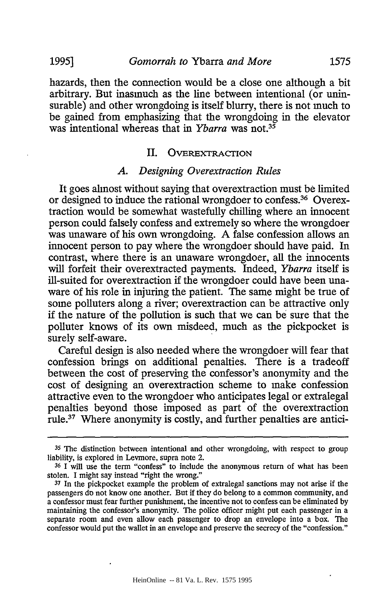hazards, then the connection would be a close one although a bit arbitrary. But inasmuch as the line between intentional (or uninsurable) and other wrongdoing is itself blurry, there is not much to be gained from emphasizing that the wrongdoing in the elevator was intentional whereas that in *Ybarra* was not.35

#### II. OVEREXTRACTION

#### *A. Designing Overextraction Rules*

It goes almost without saying that overextraction must be limited or designed to induce the rational wrongdoer to confess.<sup>36</sup> Overextraction would be somewhat wastefully chilling where an innocent person could falsely confess and extremely so where the wrongdoer was unaware of his own wrongdoing. A false confession allows an innocent person to pay where the wrongdoer should have paid. In contrast, where there is an unaware wrongdoer, all the innocents will forfeit their overextracted payments. Indeed, *Ybarra* itself is ill-suited for overextraction if the wrongdoer could have been unaware of his role in injuring the patient. The same might be true of some polluters along a river; overextraction can be attractive only if the nature of the pollution is such that we can be sure that the polluter knows of its own misdeed, much as the pickpocket is surely self-aware.

Careful design is also needed where the wrongdoer will fear that confession brings on additional penalties. There is a tradeoff between the cost of preserving the confessor's anonymity and the cost of designing an overextraction scheme to make confession attractive even to the wrongdoer who anticipates legal or extralegal penalties beyond those imposed as part of the overextraction rule.37 Where anonymity is costly, and further penalties are antici-

**<sup>35</sup>**The distinction between intentional and other wrongdoing, with respect to group liability, is explored in Levmore, supra note 2.

**<sup>36</sup>**I will use the term "confess" to include the anonymous return of what has been stolen. I might say instead "right the wrong."

**<sup>37</sup>**In the pickpocket example the problem of extralegal sanctions may not arise if the passengers do not know one another. But if they do belong to a common community, and a confessor must fear further punishment, the incentive not to confess can be eliminated by maintaining the confessor's anonymity. The police officer might put each passenger in a separate room and even allow each passenger to drop an envelope into a box. The confessor would put the wallet in an envelope and preserve the secrecy of the "confession."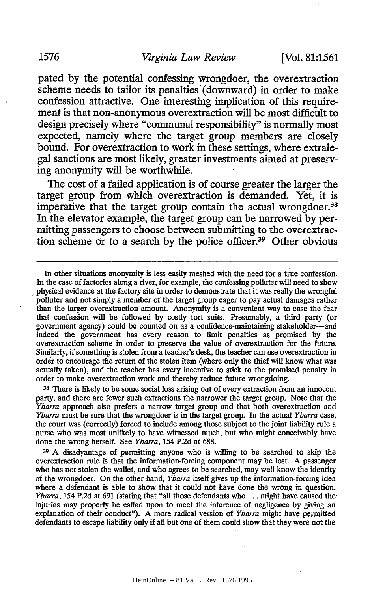pated **by** the potential confessing wrongdoer, the overextraction scheme needs to tailor its penalties (downward) in order to make confession attractive. One interesting implication of this requirement is that non-anonymous overextraction will be most difficult to design precisely where "communal responsibility" is normally most expected, namely where the target group members are closely bound. For overextraction to work in these settings, where extralegal sanctions are most likely, greater investments aimed at preserving anonymity will be worthwhile.

The cost of a failed application is of course greater the larger the target group from which overextraction is demanded. Yet, it is imperative that the target group contain the actual wrongdoer. In the elevator example, the target group can be narrowed **by** permitting passengers to choose between submitting to the overextraction scheme or to a search **by** the police officer.39 Other obvious

In other situations anonymity is less easily meshed with the need for a true confession. In the case of factories along a river, for example, the confessing polluter will need to show physical evidence at the factory site in order to demonstrate that it was really the wrongful polluter and not simply a member of the target group eager to pay actual damages rather than the larger overextraction amount. Anonymity is a convenient way to ease the fear that confession will be followed by costly tort suits. Presumably, a third party (or government agency) could be counted on as a confidence-maintaining stakeholder-and indeed the government has every reason to limit penalties as promised by the overextraction scheme in order to preserve the value of overextraction for the future. Similarly, if something is stolen from a teacher's desk, the teacher can use overextraction in order to encourage the return of the stolen item (where only the thief will know what was actually taken), and the teacher has every incentive to stick to the promised penalty in order to make overextraction work and thereby reduce future wrongdoing.

**<sup>38</sup>**There is likely to be some social loss arising out of every extraction from an innocent party, and there are fewer such extractions the narrower the target group. Note that the *Ybarra* approach also prefers a narrow target group and that both overextraction and *Ybarra* must be sure that the wrongdoer is in the target group. In the actual *Ybarra* case, the court was (correctly) forced to include among those subject to the joint liability rule a nurse who was most unlikely to have witnessed much, but who might conceivably have done the wrong herself. See *Ybarra,* 154 P.2d at 688.

**<sup>39</sup>**A disadyantage of permitting anyone *who* is willing to be searched to skip the overextraction rule is that the information-forcing component may be lost. A passenger who has not stolen the wallet, and who agrees to be searched, may well know the identity of the wrongdoer. On the other hand, *Ybarra* itself gives up the information-forcing idea where a defendant is able to show that it could not have done the wrong in question. *Ybarra, 154* P.2d at 691 (stating that "all those defendants who **...** might have caused theinjuries may properly be called upon to meet the inference of negligence by giving an explanation of their conduct"). A more radical version of *Ybarra* might have permitted defendants to escape liability only if all but one of them could show that they were not the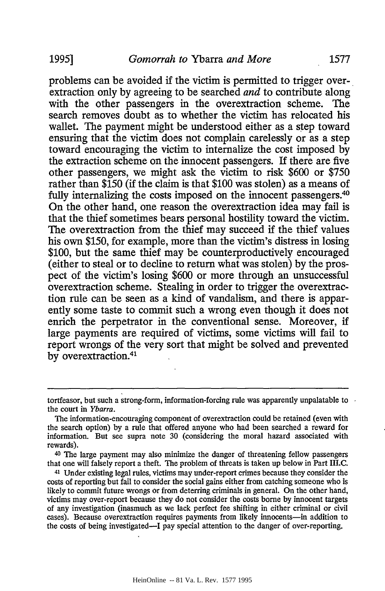problems can be avoided if the victim is permitted to trigger overextraction only by agreeing to be searched *and* to contribute along with the other passengers in the overextraction scheme. The search removes doubt as to whether the victim has relocated his wallet. The payment might be understood either as a step toward ensuring that the victim does not complain carelessly or as a step toward encouraging the victim to internalize the cost imposed by the extraction scheme on the innocent passengers. If there are five other passengers, we might ask the victim to risk **\$600** or \$750 rather than \$150 (if the claim is that \$100 was stolen) as a means of fully internalizing the costs imposed on the innocent passengers.<sup>40</sup> On the other hand, one reason the overextraction idea may fail is that the thief sometimes bears personal hostility toward the victim. The overextraction from the thief may succeed if the thief values his own \$150, for example, more than the victim's distress in losing \$100, but the same thief may be counterproductively encouraged (either to steal or to decline to return what was stolen) by the prospect of the victim's losing **\$600** or more through an unsuccessful overextraction scheme. Stealing in order to trigger the overextraction rule can be seen as a kind of vandalism, and there is apparently some taste to commit such a wrong even though it does not enrich the perpetrator in the conventional sense. Moreover, if large payments are required of victims, some victims will fail to report wrongs of the very sort that might be solved and prevented by overextraction.<sup>41</sup>

**<sup>40</sup>**The large payment may also minimize the danger of threatening fellow passengers that one will falsely report a theft. The problem of threats is taken up below in Part Ill.C.

tortfeasor, but such a strong-form, information-forcing rule was apparently unpalatable to  $\sim$ the court in *Ybarra.*

The information-encouraging component of overextraction could be retained (even with the search option) by a rule that offered anyone who had been searched a reward for information. But see supra note **30** (considering the moral hazard associated with rewards).

<sup>41</sup>Under existing legal rules, victims may under-report crimes because they consider the costs of reporting but fail to consider the social gains either from catching someone who is likely to commit future wrongs or from deterring criminals in general. On the other hand, victims may over-report because they do not consider the costs borne by innocent targets of any investigation (inasmuch as we lack perfect fee shifting in either criminal or civil cases). Because overextraction requires payments from likely innocents-in addition to the costs of being investigated-I pay special attention to the danger of over-reporting.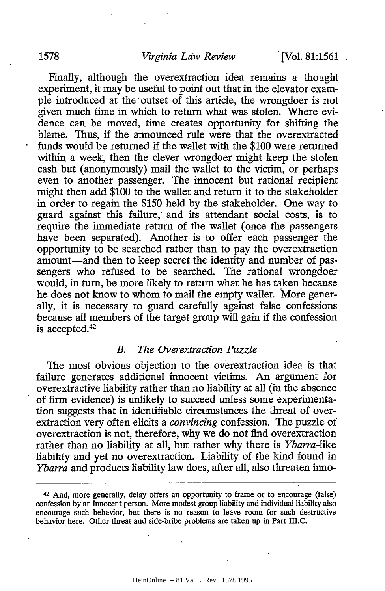Finally, although the overextraction idea remains a thought experiment, it may be useful to point out that in the elevator example introduced at the-outset of this article, the wrongdoer is not given much time in which to return what was stolen. Where evidence can be moved, time creates opportunity for shifting the blame. Thus, if the announced rule were that the overextracted funds would be returned if the wallet with the \$100 were returned within a week, then the clever wrongdoer might keep the stolen cash but (anonymously) mail the wallet to the victim, or perhaps even to another passenger. The innocent but rational recipient might then add \$100 to the wallet and return it to the stakeholder in order to regain the \$150 held by the stakeholder. One way to guard against this failure, and its attendant social costs, is to require the immediate return of the wallet (once the passengers have been separated). Another is to offer each passenger the opportunity to be searched rather than to pay the overextraction aniount-and then to keep secret the identity and number of passengers who refused to be searched. The rational wrongdoer would, in turn, be more likely to return what he has taken because he does not know to whom to mail the empty wallet. More generally, it is necessary to guard carefully against false confessions because all members of the target group will gain if the confession is accepted.<sup>4</sup>

#### *B. The Overextraction Puzzle*

The most obvious objection to the overextraction idea is that failure generates additional innocent victims. An argument for overextractive liability rather than no liability at all (in the absence of firm evidence) is unlikely to succeed unless some experimentation suggests that in identifiable circumstances the threat of overextraction very often elicits a *convincing* confession. The puzzle of overextraction is not, therefore, why we do not find overextraction rather than no liability at all, but rather why there is *Ybarra-like* liability and yet no overextraction. Liability of the kind found in *Ybarra* and products liability law does, after all, also threaten inno-

<sup>42</sup>And, more generally, delay offers an opportunity to frame or to encourage (false) confession by an innocent person. More modest group liability and individual liability also encourage such behavior, but there is no reason to leave room for such destructive behavior here. Other threat and side-bribe problems are taken up in Part III.C.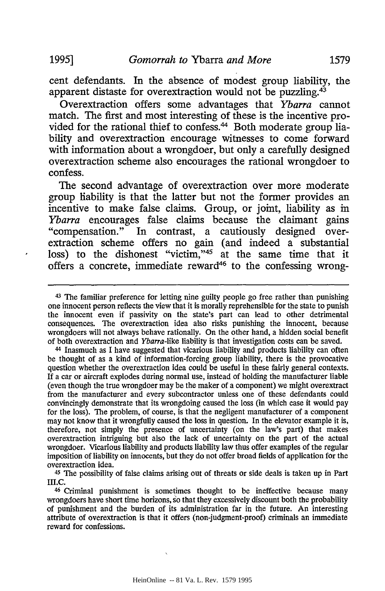cent defendants. In the absence of modest group liability, the apparent distaste for overextraction would not be puzzling.<sup>43</sup>

Overextraction offers some advantages that *Ybarra* cannot match. The first and most interesting of these is the incentive provided for the rational thief to confess.<sup>44</sup> Both moderate group liability and overextraction encourage witnesses to come forward with information about a wrongdoer, but only a carefully designed overextraction scheme also encourages the rational wrongdoer to confess.

The second advantage of overextraction over more moderate group liability is that the latter but not the former provides an incentive to make false claims. Group, or joint, liability as in *Ybarra* encourages false claims because the claimant gains "compensation." In contrast, a cautiously designed overextraction scheme offers no gain (and indeed a substantial loss) to the dishonest "victim,"<sup>45</sup> at the same time that it offers a concrete, immediate reward<sup>46</sup> to the confessing wrong-

44 Inasmuch as I have suggested that vicarious liability and products liability can often be thought of as a kind of information-forcing group liability, there is the provocative question whether the overextraction idea could be useful in these fairly general contexts. If a car or aircraft explodes during normal use, instead of holding the manufacturer liable (even though the true wrongdoer may be the maker of a component) we might overextract from the manufacturer and every subcontractor unless one of these defendants could convincingly demonstrate that its wrongdoing caused the loss (in which case it would pay for the loss). The problem, of course, is that the negligent manufacturer of a component may not know that it wrongfully caused the loss in question. In the elevator example it is, therefore, not simply the presence of uncertainty (on the law's part) that makes overextraction intriguing but also the lack of uncertainty on the part of the actual wrongdoer. Vicarious liability and products liability law thus offer examples of the regular imposition of liability on innocents, but they do not offer broad fields of application for the overextraction idea.

45 The possibility of false claims arising out of threats or side deals is taken up in Part **III.C.**

<sup>46</sup>Criminal punishment is sometimes thought to be ineffective because many wrongdoers have short time horizons, so that they excessively discount both the probability of punishment and the burden of its administration far in the future. An interesting attribute of overextraction is that it offers (non-judgment-proof) criminals an immediate reward for confessions.

<sup>43</sup> The familiar preference for letting nine guilty people go free rather than punishing one innocent person reflects the view that it is morally reprehensible for the state to punish the innocent even if passivity on the state's part can lead to other detrimental consequences. The overextraction idea also risks punishing the innocent, because wrongdoers will not always behave rationally. On the other hand, a hidden social benefit of both overextraction and *Ybarra-like* liability is that investigation costs can be saved.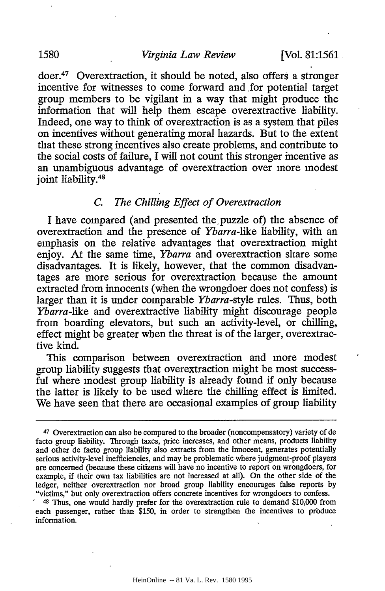## *Virginia Law Review* **1580** [Vol. **81:1561**

doer.47 Overextraction, it should be noted, also offers a stronger incentive for witnesses to come forward and ,for potential target group members to be vigilant in a way that might produce the information that will help them escape overextractive liability. Indeed, one way to think of overextraction is as a system that piles on incentives without generating moral hazards. But to the extent that these strong incentives also create problems, and contribute to the social costs of failure, I will not count this stronger incentive as an unambiguous advantage of overextraction over more modest joint liability.4s

## *C. The Chilling Effect of Overextraction*

I have compared (and presented the puzzle of) the absence of overextraction and the presence of *Ybarra-like* liability, with an emphasis on the relative advantages that overextraction might enjoy. At the same time, *Ybarra* and overextraction share some disadvantages. It is likely, however, that the common disadvantages are more serious for overextraction because the amount extracted from innocents (when the wrongdoer does not confess) is larger than it is under comparable *Ybarra-style* rules. Thus, both *Ybarra-like* and overextractive liability might discourage people from boarding elevators, but such an activity-level, or chilling, effect might be greater when the threat is of the larger, overextractive kind.

This comparison between overextraction and more modest group liability suggests that overextraction might be most successful where modest group liability is already found if only because the latter is likely to be used where the chilling effect is limited. We have seen that there are occasional examples of group liability

<sup>47</sup>Overextraction can also be compared to the broader (noncompensatory) variety of de facto group liability. Through taxes, price increases, and other means, products liability and other de facto group liability also extracts from the innocent, generates potentially serious activity-level inefficiencies, and may be problematic where judgment-proof players are concerned (because these citizens will have no incentive to report on wrongdoers, for example, if their own tax liabilities are not increased at all). On the other side of the ledger, neither overextraction nor broad group liability encourages false reports by "victims," but only overextraction offers concrete incentives for wrongdoers to confess.

**<sup>48</sup>**Thus, one would hardly prefer for the overextraction rule to demand \$10,000 from each passenger, rather than \$150, in order to strengthen the incentives to produce information.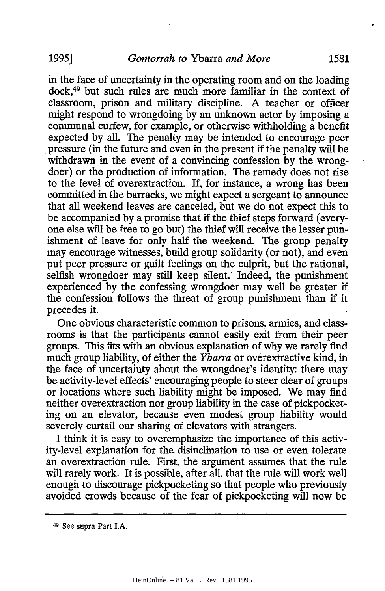in the face of uncertainty in the operating room and on the loading dock,<sup>49</sup> but such rules are much more familiar in the context of classroom, prison and military discipline. A teacher or officer might respond to wrongdoing by an unknown actor by imposing a communal curfew, for example, or otherwise withholding a benefit expected by all. The penalty may be intended to encourage peer pressure (in the future and even in the present if the penalty will be withdrawn in the event of a convincing confession by the wrongdoer) or the production of information. The remedy does not rise to the level of overextraction. If, for instance, a wrong has been committed in the barracks, we might expect a sergeant to announce that all weekend leaves are canceled, but we do not expect this to be accompanied by a promise that if the thief steps forward (everyone else will be free to go but) the thief will receive the lesser punishment of leave for only half the weekend. The group penalty may encourage witnesses, build group solidarity (or not), and even put peer pressure or guilt feelings on the culprit, but the rational, selfish wrongdoer may still keep silent. Indeed, the punishment experienced by the confessing wrongdoer may well be greater if the confession follows the threat of group punishment than if it precedes it.

One obvious characteristic common to prisons, armies, and classrooms is that the participants cannot easily exit from their peer groups. This fits with an obvious explanation of why we rarely find much group liability, of either the *Ybarra* or overextractive kind, in the face of uncertainty about the wrongdoer's identity: there may be activity-level effects' encouraging people to steer clear of groups or locations where such liability might be imposed. We may find neither overextraction nor group liability in the case of pickpocket- ing on an elevator, because even modest group liability would severely curtail our sharing of elevators with strangers.

I think it is easy to overemphasize the importance of this activity-level explanation for the disinclination to use or even tolerate an overextraction rule. First, the argument assumes that the rule will rarely work. It is possible, after all, that the rule will work well enough to discourage pickpocketing so that people who previously avoided crowds because of the fear of pickpocketing will now be

<sup>49</sup> See supra Part I.A.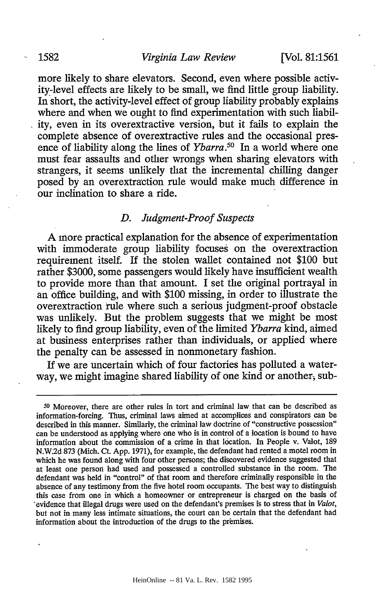more likely to share elevators. Second, even where possible activity-level effects are likely to be small, we find little group liability. In short, the activity-level effect of group liability probably explains where and when we ought to find experimentation with such liability, even in its overextractive version, but it fails to explain the complete absence of overextractive rules and the occasional presence of liability along the lines of *Ybarra.50* In a world where one must fear assaults and other wrongs when sharing elevators with strangers, it seems unlikely that the incremental chilling danger posed by an overextraction rule would make much difference in our inclination to share a ride.

## *D. Judgment-Proof Suspects*

A more practical explanation for the absence of experimentation with immoderate group liability focuses on the overextraction requirement itself. If the stolen wallet contained not \$100 but rather \$3000, some passengers would likely have insufficient wealth to provide more than that amount. I set the original portrayal in an office building, and with \$100 missing, in order to illustrate the overextraction rule where such a serious judgment-proof obstacle was unlikely. But the problem suggests that we might be most likely to find group liability, even of the limited *Ybarra* kind, aimed at business enterprises rather than individuals, or applied where the penalty can be assessed in nonmonetary fashion.

If we are uncertain which of four factories has polluted a waterway, we might imagine shared liability of one kind or another, sub-

<sup>50</sup>Moreover, there are other rules in tort and criminal law that can be described as information-forcing. Thus, criminal laws aimed at accomplices and conspirators can be described in this manner. Similarly, the criminal law doctrine of "constructive possession" can be understood as applying where one who is in control of a location is bound to have information about the commission of a crime in that location. In People v. Valot, 189 N.W.2d 873 (Mich. Ct. App. 1971), for example, the defendant had rented a motel room in which he was found along with four other persons; the discovered evidence suggested that at least one person had used and possessed a controlled substance in the room. The defendant was held in "control" of that room and therefore criminally responsible in the absence of any testimony from the five hotel room occupants. The best way to distinguish this case from one in which a homeowner or entrepreneur is charged on the basis of .evidence that illegal drugs were used on the defendant's premises is to stress that in *Valot,* but not in many less intimate situations, the court can be certain that the defendant had information about the introduction of the drugs to the premises.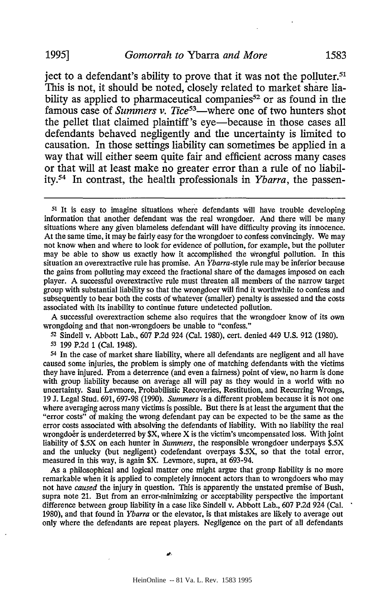ject to a defendant's ability to prove that it was not the polluter.<sup>51</sup> This is not, it should be noted, closely related to market share liability as applied to pharmaceutical companies<sup>52</sup> or as found in the famous case of *Summers v. Tice*<sup>53</sup>—where one of two hunters shot the pellet that claimed plaintiff's eye-because in those cases all defendants behaved negligently and the uncertainty is limited to causation. In those settings liability can sometimes be applied in a way that will either seem quite fair and efficient across many cases or that will at least make no greater error than a rule of no liability.54 In contrast, the health professionals in *Ybarra,* the passen-

A successful overextraction scheme also requires that the wrongdoer know of its own wrongdoing and that non-wrongdoers be unable to "confess."

**<sup>52</sup>**Sindell v. Abbott Lab., 607 P.2d 924 (Cal. 1980), cert. denied 449 U.S. 912 (1980).

**<sup>53</sup>**199 P.2d 1 (Cal. 1948).

54 In the case of market share liability, where all defendants are negligent and all have caused some injuries, the problem is simply one of matching defendants with the victims they have injured. From a deterrence (and even a fairness) point of view, no harm is done with group liability because on average all will pay as they would in a world with no uncertainty. Saul Levmore, Probabilistic Recoveries, Restitution, and Recurring Wrongs, 19 J. Legal Stud. 691, 697-98 (1990). *Summers* is a different problem because it is not one where averaging across many victims is possible. But there is at least the argument that the "error costs" of making the wrong defendant pay can be expected to be the same as the error costs associated with absolving the defendants of liability. With no liability the real wrongdoer is underdeterred by  $X$ , where X is the victim's uncompensated loss. With joint liability of \$.5X on each hunter in *Summers,* the responsible wrongdoer underpays \$.5X and the unlucky (but negligent) codefendant overpays \$.5X, so that the total error, measured in this way, is again \$X. Levmore, supra, at 693-94.

As a philosophical and logical matter one might argue that gronp liability is no more remarkable when it is applied to completely innocent actors than to wrongdoers who may not have *caused* the injury in question. This is apparently the unstated premise of Bush, supra note 21, But from an error-minimizing or acceptability perspective the important difference between group liability in a case like Sindell v. Abbott Lab., 607 P.2d 924 (Cal. 1980), and that found in *Ybarra* or the elevator, is that mistakes are likely to average out only where the defendants are repeat players. Negligence on the part of all defendants

**<sup>51</sup>**It is easy to imagine situations where defendants will have trouble developing information that another defendant was the real wrongdoer. And there will be many situations where any given blameless defendant will have difficulty proving its innocence. At the same time, it may be fairly easy for the wrongdoer to confess convincingly. We may not know when and where to look for evidence of pollution, for example, but the polluter may be able to show us exactly how it accomplished the Wrongful pollution. In this situation an overextractive rule has promise. An *Ybarra-style* rule may be inferior because the gains from polluting may exceed the fractional share of the damages imposed on each player. A successful overextractive rule must threaten all members of the narrow target group with substantial liability so that the wrongdoer will find it worthwhile to confess and subsequently to bear both the costs of whatever (smaller) penalty is assessed and the costs associated with its inability to continue future undetected pollution.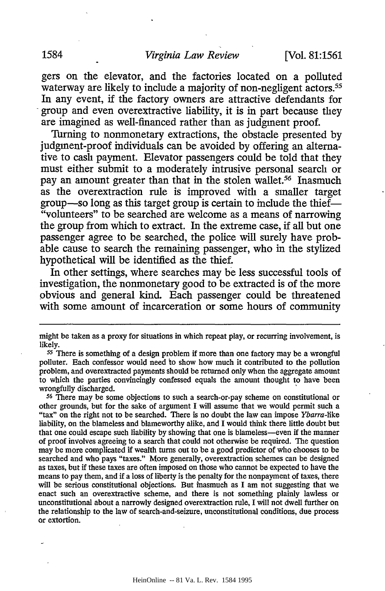gers on the elevator, and the factories located on a polluted waterway are likely to include a majority of non-negligent actors.<sup>55</sup> In any event, if the factory owners are attractive defendants for group and even overextractive liability, it is in part because they are imagined as well-financed rather than as judgment proof.

Turning to nonmonetary extractions, the obstacle presented by judgment-proof individuals can be avoided by offering an alternative to cash payment. Elevator passengers could be told that they must either submit to a moderately intrusive personal search or pay an amount greater than that in the stolen wallet.<sup>56</sup> Inasmuch as the overextraction rule is improved with a smaller target group—so long as this target group is certain to include the thief— "volunteers" to be searched are welcome as a means of narrowing the group from which to extract. In the extreme case, if all but one passenger agree to be searched, the police will surely have probable cause to search the remaining passenger, who in the stylized hypothetical will be identified as the thief.

In other settings, where searches may be less successful tools of investigation, the nonmonetary good to be extracted is of the more obvious and general kind. Each passenger could be threatened with some amount of incarceration or some hours of community

might be taken as a proxy for situations in which repeat play, or recurring involvement, is likely.

**<sup>55</sup>**There is something of a design problem if more than one factory may be a wrongful polluter. Each confessor would need to show how much it contributed to the pollution problem, and overextracted payments should be returned only when the aggregate amount to which the parties convincingly confessed equals the amount thought to have been wrongfully discharged.

**<sup>56</sup>**There may be some objections to such a search-or-pay scheme on constitutional or other grounds, but for the sake of argument I will assume that we would permit such a "tax" on the right not to be searched. There is no doubt the law can impose *Ybarra-llke* liability, on the blameless and blameworthy alike, and I would think there little doubt but that one could escape such liability by showing that one is blameless-even if the manner of proof involves agreeing to a search that could not otherwise be required. The question may be more complicated if wealth turns out to be a good predictor of who chooses to be searched and who pays "taxes." More generally, overextraction schemes can be designed as taxes, but if these taxes are often imposed on those who cannot be expected to have the means to pay them, and if a loss of liberty is the penalty for the nonpayment of taxes, there will be serious constitutional objections. But inasmuch as I am not suggesting that we enact such an overextractive scheme, and there is not something plainly lawless or unconstitutional about a narrowly designed overextraction rule, I will not dwell further on the relationship to the law of search-and-seizure, unconstitutional conditions, due process or extortion.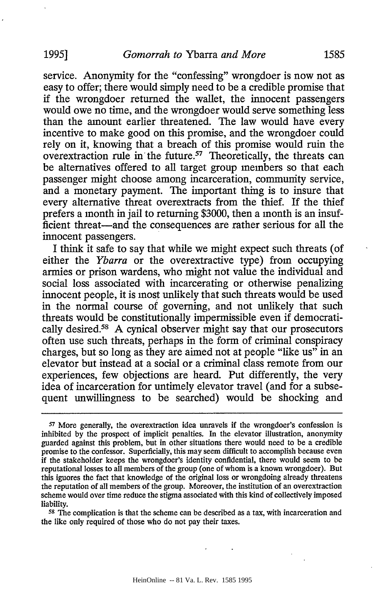service. Anonymity for the "confessing" wrongdoer is now not as easy to offer; there would simply need to be a credible promise that if the wrongdoer returned the wallet, the innocent passengers would owe no time, and the wrongdoer would serve something less than the amount earlier threatened. The law would have every incentive to make good on this promise, and the wrongdoer could rely on it, knowing that a breach of this promise would ruin the overextraction rule in the future.<sup>57</sup> Theoretically, the threats can be alternatives offered to all target group members so that each passenger might choose among incarceration, community service, and a monetary payment. The important thing is to insure that every alternative threat overextracts from the thief. If the thief prefers a month in jail to returning \$3000, then a month is an insufficient threat—and the consequences are rather serious for all the innocent passengers.

I think it safe to say that while we might expect such threats (of either the *Ybarra* or the overextractive type) from occupying armies or prison wardens, who might not value the individual and social loss associated with incarcerating or otherwise penalizing innocent people, it is most unlikely that such threats would be used in the normal course of governing, and not unlikely that such threats would be constitutionally impermissible even if democratically desired.<sup>58</sup> A cynical observer might say that our prosecutors often use such threats, perhaps in the form of criminal conspiracy charges, but so long as they are aimed not at people "like us" in an elevator but instead at a social or a criminal class remote from our experiences, few objections are heard. Put differently, the very idea of incarceration for untimely elevator travel (and for a subsequent unwillingness to be searched) would be shocking and

the like only required of those who do not pay their taxes.

<sup>57</sup> More generally, the overextraction idea unravels if the wrongdoer's confession is inhibited by the prospect of implicit penalties. In the elevator illustration, anonymity guarded against this problem, but in other situations there would need to be a credible promise to the confessor. Superficially, this may seem difficult to accomplish because even if the stakeholder keeps the wrongdoer's identity confidential, there would seem to be reputational losses to all members of the group (one of whom is a known wrongdoer). But this ignores the fact that knowledge of the original loss or wrongdoing already threatens the reputation of all members of the group. Moreover, the institution of an overextraction scheme would over time reduce the stigma associated with this kind of collectively imposed liability.<br><sup>58</sup> The complication is that the scheme can be described as a tax, with incarceration and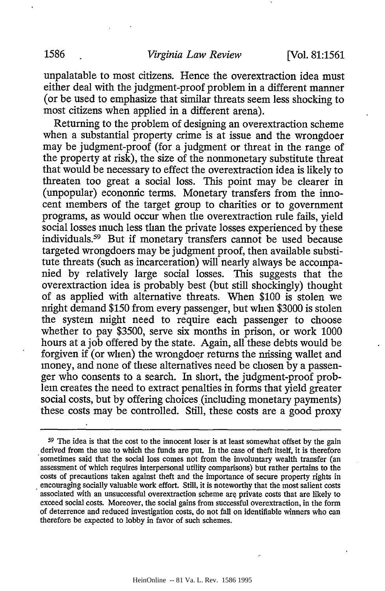unpalatable to most citizens. Hence the overextraction idea must either deal with the judgment-proof problem in a different manner (or be used to emphasize that similar threats seem less shocking to most citizens when applied in a different arena).

Returning to the problem of designing an overextraction scheme when a substantial property crime is at issue and the wrongdoer may be judgment-proof (for a judgment or threat in the range of the property at risk), the size of the nonmonetary substitute threat that would be necessary to effect the overextraction idea is likely to threaten too great a social loss. This point may be clearer in (unpopular) economic terms. Monetary transfers from the innocent members of the target group to charities or to government programs, as would occur when the overextraction rule fails, yield social losses much less than the private losses experienced by these individuals.<sup>59</sup> But if monetary transfers cannot be used because targeted wrongdoers may be judgment proof, then available substitute threats (such as incarceration) will nearly always be accompanied by relatively large social losses. This suggests that the overextraction idea is probably best (but still shockingly) thought of as applied with alternative threats. When \$100 is stolen we might demand \$150 from every passenger, but when \$3000 is stolen the system might need to require each passenger to choose whether to pay \$3500, serve six months in prison, or work 1000 hours at a job offered by the state. Again, all these debts would be forgiven if (or when) the wrongdoer returns the missing wallet and money, and none of these alternatives need be chosen by a passenger who consents to a search. In short, the judgment-proof problem creates the need to extract penalties in forms that yield greater social costs, but by offering choices (including monetary payments) these costs may be controlled. Still, these costs are a good proxy

**<sup>59</sup>**The idea is that the cost to the innocent loser is at least somewhat offset by the gain derived from the use to which the funds are put. In the case of theft itself, it is therefore sometimes said that the social loss comes not from the involuntary wealth transfer (an assessment of which requires interpersonal utility comparisons) but rather pertains to the costs of precautions taken against theft and the importance of secure property rights in encouraging socially valuable work effort. Still, it is noteworthy that the most salient costs associated with an unsuccessful overextraction scheme are private costs that are likely to exceed social costs. Moreover, the social gains from successful overextraction, in the form of deterrence and reduced investigation costs, do not fall on identifiable winners who can therefore be expected to lobby in favor of such schemes.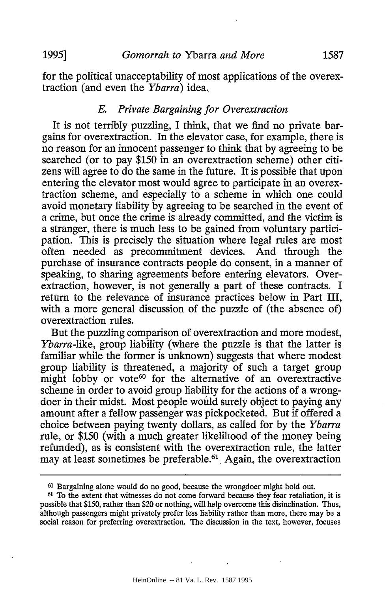for the political unacceptability of most applications of the overextraction (and even the *Ybarra)* idea.

## *E. Private Bargaining for Overextraction*

It is not terribly puzzling, I think, that we find no private bargains for overextraction. In the elevator case, for example, there is no reason for an innocent passenger to think that by agreeing to be searched (or to pay \$150 in an overextraction scheme) other citizens will agree to do the same in the future. It is possible that upon entering the elevator most would agree to participate in an overextraction scheme, and especially to a scheme in which one could avoid monetary liability by agreeing to be searched in the event of a crime, but once the crime is already committed, and the victim is a stranger, there is much less to be gained from voluntary participation. This is precisely the situation where legal rules are most often needed as precommitment devices. And through the purchase of insurance contracts people do consent, in a manner of speaking, to sharing agreements before entering elevators. Overextraction, however, is not generally a part of these contracts. I return to the relevance of insurance practices below in Part III, with a more general discussion of the puzzle of (the absence of) overextraction rules.

But the puzzling comparison of overextraction and more modest, *Ybarra-like,* group liability (where the puzzle is that the latter is familiar while the former is unknown) suggests that where modest group liability is threatened, a majority of such a target group might lobby or vote<sup>60</sup> for the alternative of an overextractive scheme in order to avoid group liability for the actions of a wrongdoer in their midst. Most people would surely object to paying any amount after a fellow passenger was pickpocketed. But if offered a choice between paying twenty dollars, as called for by the *Ybarra* rule, or \$150 (with a much greater likelihood of the money being refunded), as is consistent with the overextraction rule, the latter may at least sometimes be preferable.<sup>61</sup> Again, the overextraction

**<sup>6</sup>o** Bargaining alone would do no good, because the wrongdoer might hold out.

**<sup>61</sup>**To the extent that witnesses do not come forward because they fear retaliation, it is possible that \$150, rather than \$20 or nothing, will help overcome this disinclination. Thus, although passengers might privately prefer less liability rather than more, there may be a social reason for preferring overextraction. The discussion in the text, however, focuses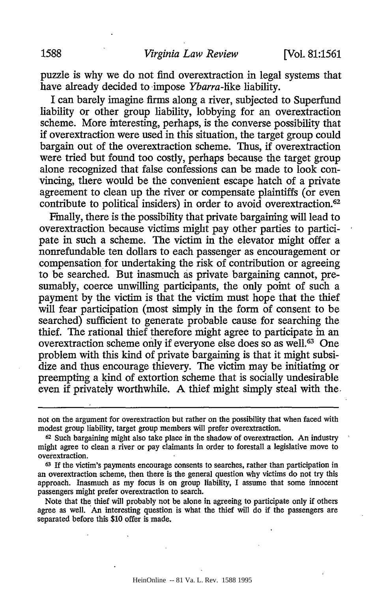puzzle is why we do not find overextraction in legal systems that have already decided to impose *Ybarra*-like liability.

I can barely imagine firms along a river, subjected to Superfund liability or other group liability, lobbying for an overextraction scheme. More interesting, perhaps, is the converse possibility that if overextraction were used in this situation, the target group could bargain out of the overextraction scheme. Thus, if overextraction were tried but found too costly, perhaps because the target group alone recognized that false confessions can be made to look convincing, there would be the convenient escape hatch of a private agreement to clean up the river or compensate plaintiffs (or even contribute to political insiders) in order to avoid overextraction. <sup>62</sup>

Finally, there is the possibility that private bargaining will lead to overextraction because victims might pay other parties to participate in such a scheme. The victim in the elevator might offer a nonrefundable ten dollars to each passenger as encouragement or compensation for undertaking the risk of contribution or agreeing to be searched. But inasmuch as private bargaining cannot, presumably, coerce unwilling participants, the only point of such a payment by the victim is that the victim must hope that the thief will fear participation (most simply in the form of consent to be searched) sufficient to generate probable cause for searching the thief. The rational thief therefore might agree to participate in an overextraction scheme only if everyone else does so as well.63 One problem with this kind of private bargaining is that it might subsidize and thus encourage thievery. The victim may be initiating or preempting a kind of extortion scheme that is socially undesirable even if privately worthwhile. A thief might simply steal with the.

**<sup>63</sup>**If the victim's payments encourage consents to searches, rather than participation in an overextraction scheme, then there is the general question why victims do not try this approach. Inasmuch as my focus is on group liability, I assume that some innocent passengers might prefer overextraction to search.

Note that the thief will probably not be alone in agreeing to participate only if others agree as well. An interesting question is what the thief will do if the passengers are separated before this \$10 offer is made.

not on the argument for overextraction but rather on the possibility that when faced with modest group liability, target group members will prefer overextraction.

**<sup>62</sup>**Such bargaining might also take place in the shadow of overextraction. An industry might agree to clean a river or pay claimants in order to forestall a legislative move to overextraction.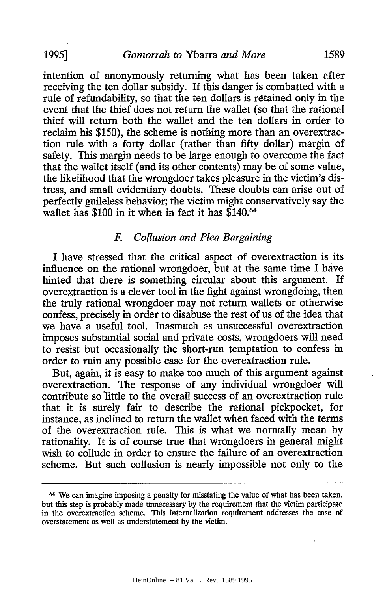intention of anonymously returning what has been taken after receiving the ten dollar subsidy. If this danger is combatted with a rule of refundability, so that the ten dollars is retained only in the event that the thief does not return the wallet (so that the rational thief will return both the wallet and the ten dollars in order to reclaim his \$150), the scheme is nothing more than an overextraction rule with a forty dollar (rather than fifty dollar) margin of safety. This margin needs to be large enough to overcome the fact that the wallet itself (and its other contents) may be of some value, the likelihood that the wrongdoer takes pleasure in the victim's distress, and small evidentiary doubts. These doubts can arise out of perfectly guileless behavior; the victim might conservatively say the wallet has \$100 in it when in fact it has \$140.<sup>64</sup>

## *F. Collusion and Plea Bargaining*

I have stressed that the critical aspect of overextraction is its influence on the rational wrongdoer, but at the same time I have hinted that there is something circular about this argument. If overextraction is a clever tool in the fight against wrongdoing, then the truly rational wrongdoer may not return wallets or otherwise confess, precisely in order to disabuse the rest of us of the idea that we have a useful tool. Inasmuch as unsuccessful overextraction imposes substantial social and private costs, wrongdoers will need to resist but occasionally the short-run temptation to confess in order to ruin any possible case for the overextraction rule.

But, again, it is easy to make too much of this argument against overextraction. The response of any individual wrongdoer will contribute so'little to the overall success of an overextraction rule that it is surely fair to describe the rational pickpocket, for instance, as inclined to return the wallet when faced with the terms of the overextraction rule. This is what we normally mean by rationality. It is of course true that wrongdoers in general might wish to collude in order to ensure the failure of an overextraction scheme. But such collusion is nearly impossible not only to the

<sup>64</sup>We can imagine imposing a penalty for misstating the value of what has been taken, but this step is probably made unnecessary by the requirement that the victim participate in the overextraction scheme. This internalization requirement addresses the case of overstatement as well as understatement by the victim.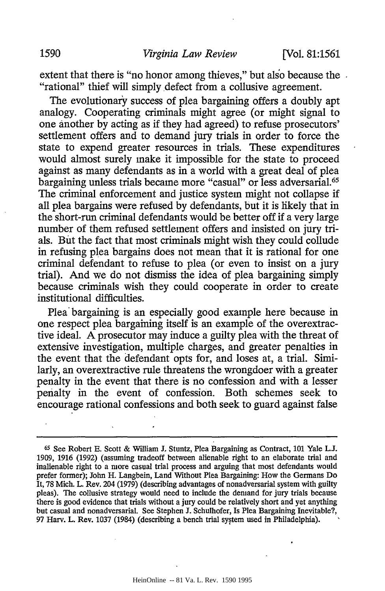extent that there is "no honor among thieves," but also because the "rational" thief will simply defect from a collusive agreement.

The evolutionary success of plea bargaining offers a doubly apt analogy. Cooperating criminals might agree (or might signal to one another by acting as if they had agreed) to refuse prosecutors' settlement offers and to demand jury trials in order to force the state to expend greater resources in trials. These expenditures would almost surely make it impossible for the state to proceed against as many defendants as in a world with a great deal of plea bargaining unless trials became more "casual" or less adversarial.<sup>65</sup> The criminal enforcement and justice system might not collapse if all plea bargains were refused by defendants, but it is likely that in the short-run criminal defendants would be better off if a very large number of them refused settlement offers and insisted on jury trials. But the fact that most criminals might wish they could collude in refusing plea bargains does not mean that it is rational for one criminal defendant to refuse to plea (or even to insist on a jury trial). And we do not dismiss the idea of plea bargaining simply because criminals wish they could cooperate in order to create institutional difficulties.

Plea bargaining is an especially good example here because in one respect plea bargaining itself is an example of the overextractive ideal. A prosecutor may induce a guilty plea with the threat of extensive investigation, multiple charges, and greater penalties in the event that the defendant opts for, and loses at, a trial. Similarly, an overextractive rule threatens the wrongdoer with a greater penalty in the event that there is no confession and with a lesser penalty in the event of confession. Both schemes seek to encourage rational confessions and both seek to guard against false

**<sup>65</sup>**See Robert E. Scott & William *J,* Stuntz, Plea Bargaining as Contract, 101 Yale **L.J.** 1909, 1916 (1992) (assuming tradeoff between alienable right to an elaborate trial and inalienable right to a more casual trial process and arguing that most defendants would prefer former); John H. Langbein, Land Without Plea Bargaining: How the Germans Do It, 78 Mich. L. Rev. 204 (1979) (describing advantages of nonadversarial system with guilty pleas). The collusive strategy would need to include the demand for jury trials because there is good evidence that trials without a jury could be relatively short and yet anything but casual and nonadversarial. See Stephen J. Schulhofer, Is Plea Bargaining Inevitable?, 97 Harv. L. Rev. 1037 (1984) (describing a bench trial system used in Philadelphia).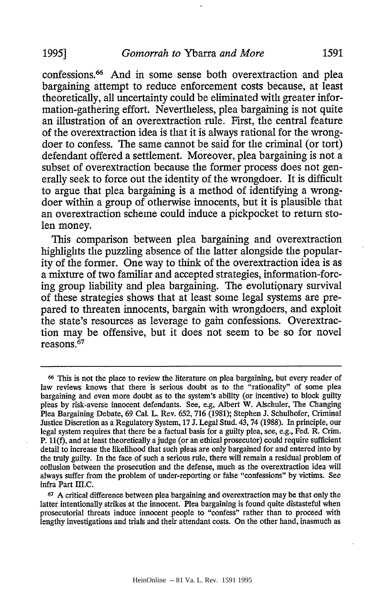confessions.66 And in some sense both overextraction and plea bargaining attempt to reduce enforcement costs because, at least theoretically, all uncertainty could be eliminated with greater information-gathering effort. Nevertheless, plea bargaining is not quite an illustration of an overextraction rule. First, the central feature of the overextraction idea is that it is always rational for the wrongdoer to confess. The same cannot be said for the criminal (or tort) defendant offered a settlement. Moreover, plea bargaining is not a subset of overextraction because the former process does not generally seek to force out the identity of the wrongdoer. It is difficult to argue that plea bargaining is a method of identifying a wrongdoer within a group of otherwise innocents, but it is plausible that an overextraction scheme could induce a pickpocket to return stolen money.

This comparison between plea bargaining and overextraction highlights the puzzling absence of the latter alongside the popularity of the former. One way to think of the overextraction idea is as a mixture of two familiar and accepted strategies, information-forcing group liability and plea bargaining. The evolutignary survival of these strategies shows that at least some legal systems are prepared to threaten innocents, bargain with wrongdoers, and exploit the state's resources as leverage to gain confessions. Overextraction may be offensive, but it does not seem to be so for novel  $r_{\rm casons.}$ <sup>67</sup>

**<sup>66</sup>**This is not the place to review the literature on plea bargaining, but every reader of law reviews knows that there is serious doubt as to the "rationality" of some plea bargaining and even more doubt as to the system's ability (or incentive) to block guilty pleas **by** risk-averse innocent defendants. See, e.g, Albert W. Alschuler, The Changing Plea Bargaining Debate, 69 Cal. L. Rev. 652, 716 (1981); Stephen J. Schulhofer, Criminal Justice Discretion as a Regulatory System, 17 J. Legal Stud. 43, 74 (1988). In principle, our legal system requires that there be a factual basis for a guilty plea, see, e.g., Fed. R. Crim. P. 11(f), and at least theoretically a judge (or an ethical prosecutor) could require sufficient detail to increase the likelihood that such pleas are only bargained for and entered into by the truly guilty. In the face of such a serious rule, there will remain a residual problem of collusion between the prosecution and the defense, much as the overextraction idea will always suffer from the problem of under-reporting or false "confessions" **by** victims. See infra Part III.C.

**<sup>67</sup>**A critical difference between plea bargaining and overextraction may be that only the latter intentionally strikes at the innocent. Plea bargaining is found quite distasteful when prosecutorial threats induce innocent people to "confess" rather than to proceed with lengthy investigations and trials and their attendant costs. On the other hand, inasmuch as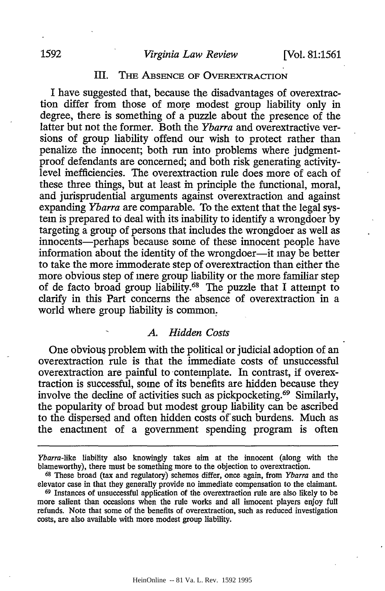## *Virginia Law Review* **1592** [Vol. **81:1561**

## III. THE ABSENCE OF OVEREXTRACTION

I have suggested that, because the disadvantages of overextraction differ from those of more modest group liability only in degree, there is something of a puzzle about the presence of the latter but not the former. Both the *Ybarra* and overextractive versions of group liability offend our wish to protect rather than penalize the innocent; both run into problems where judgmentproof defendants are concerned; and both risk generating activitylevel inefficiencies. The overextraction rule does more of each of these three things, but at least in principle the functional, moral, and jurisprudential arguments against overextraction and against expanding *Ybarra* are comparable. To the extent that the legal system is prepared to deal with its inability to identify a wrongdoer by targeting a group of persons that includes the wrongdoer as well as innocents-perhaps because some of these innocent people have information about the identity of the wrongdoer—it may be better to take the more immoderate step of overextraction than either the more obvious step of mere group liability or the more familiar step of de facto broad group liability.68 The puzzle that I attempt to clarify in this Part concerns the absence of overextraction in a world where group liability is common.

#### *A. Hidden Costs*

One obvious problem with the political or judicial adoption of an overextraction rule is that the immediate costs of unsuccessful overextraction are painful to contemplate. In contrast, if overextraction is successful, some of its benefits are hidden because they involve the decline of activities such as pickpocketing.<sup>69</sup> Similarly, the popularity of broad but modest group liability can be ascribed to the dispersed and often hidden costs of such burdens. Much as the enactment of a government spending program is often

*Ybarra-like* liability also knowingly takes aim at the innocent (along with the blameworthy), there must be something more to the objection to overextraction.

**<sup>68</sup>**These broad (tax and regulatory) schemes differ, once again, from *Ybarra* and the elevator case in that they generally provide no immediate compensation to the claimant.

**<sup>69</sup>**Instances of unsuccessful application of the overextraction rule are also likely to be more salient than occasions when the rule works and all innocent players enjoy full refunds. Note that some of the benefits of overextraction, such as reduced investigation costs, are also available with more modest group liability.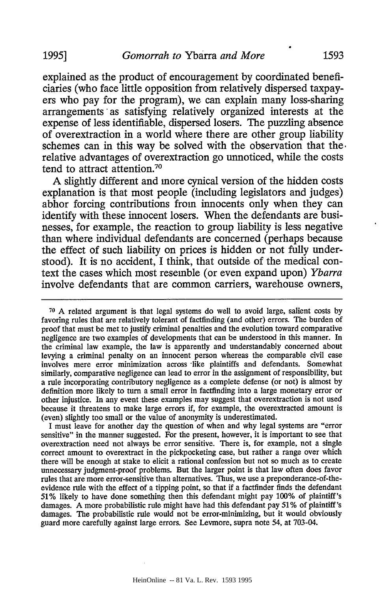explained as the product of encouragement by coordinated beneficiaries (who face little opposition from relatively dispersed taxpayers who pay for the program), we can explain many loss-sharing arrangements'as satisfying relatively organized interests at the expense of less identifiable, dispersed losers. The puzzling absence of overextraction in a world where there are other group liability schemes can in this way be solved with the observation that the. relative advantages of overextraction go unnoticed, while the costs tend to attract attention.<sup>70</sup>

A slightly different and more cynical version of the hidden costs explanation is that most people (including legislators and judges) abhor forcing contributions from innocents only when they can identify with these innocent losers. When the defendants are businesses, for example, the reaction to group liability is less negative than where individual defendants are concerned (perhaps because the effect of such liability on prices is hidden or not fully understood). It is no accident, I think, that outside of the medical context the cases which most resemble (or even expand upon) *Ybarra* involve defendants that are common carriers, warehouse owners,

**<sup>70</sup>**A related argument is that legal systems do well to avoid large, salient costs by favoring rules that are relatively tolerant of factfinding (and other) errors. The burden of proof that must be met to justify criminal penalties and the evolution toward comparative negligence are two examples of developments that can be understood in this manner. In the criminal law example, the law is apparently and understandably concerned about levying a criminal penalty on an innocent person whereas the comparable civil case involves mere error minimization across like plaintiffs and defendants. Somewhat similarly, comparative negligence can lead to error in the assignment of responsibility, but a rule incorporating contributory negligence as a complete defense (or not) is almost by definition more likely to turn a small error in factfinding into a large monetary error or other injustice. In any event these examples may suggest that overextraction is not used because it threatens to make large errors if, for example, the overextracted amount is (even) slightly too small or the value of anonymity is underestimated.

I must leave for another day the question of when and why legal systems are "error sensitive" in the manner suggested. For the present, however, it is important to see that overextraction need not always be error sensitive. There is, for example, not a single correct amount to overextract in the pickpocketing case, but rather a range over which there will be enough at stake to elicit a rational confession but not so much as to create unnecessary judgment-proof problems. But the larger point is that law often does favor rules that are more error-sensitive than alternatives. Thus, we use a preponderance-of-theevidence rule with the effect of a tipping point, so that if a factfinder finds the defendant 51% likely to have done something then this defendant might pay 100% of plaintiff's damages. A more probabilistic rule might have had this defendant pay 51% of plaintiff's damages. The probabilistic rule would not be error-minimizing, but it would obviously guard more carefully against large errors. See Levmore, supra note 54, at 703-04.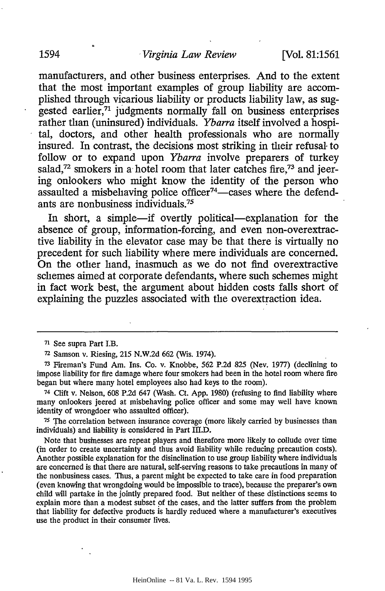## *1Virginia Law Review* 1594 [Vol. **81:1561**

manufacturers, and other business enterprises. And to the extent that the most important examples of group liability are accomplished through vicarious liability or products liability law, as suggested earlier,<sup>71</sup> judgments normally fall on business enterprises rather than (uninsured) individuals. *Ybarra* itself involved a hospital, doctors, and other health professionals who are normally insured. In contrast, the decisions most striking in their refusal- to follow or to expand upon *Ybarra* involve preparers of turkey salad, $72$  smokers in a hotel room that later catches fire, $73$  and jeering onlookers who might know the identity of the person who assaulted a misbehaving police officer<sup>74</sup>—cases where the defendants are nonbusiness individuals.<sup>75</sup>

In short, a simple-if overtly political-explanation for the absence of group, information-forcing, and even non-overextractive liability in the elevator case may be that there is virtually no precedent for such liability where mere individuals are concerned. On the other hand, inasmuch as we do not find overextractive schemes aimed at corporate defendants, where such schemes might in fact work best, the argument about hidden costs falls short of explaining the puzzles associated with the overextraction idea.

<sup>74</sup>Clift v. Nelson, 608 P.2d 647 (Wash. Ct. App. 1980) (refusing to find liability where many onlookers jeered at misbehaving police officer and some may well have known identity of wrongdoer who assaulted officer).

**<sup>75</sup>**The correlation between insurance coverage (more likely carried by businesses than individuals) and liability is considered in Part III.D.

Note that businesses are repeat players and therefore more likely to collude over time (in order to create uncertainty and thus avoid liability while reducing precaution costs). Another possible explanation for the disinclination to use group liability where individuals are concerned is that there are natural, self-serving reasons to take precautions in many of the nonbusiness cases. Thus, a parent might be expected to take care in food preparation (even knowing that wrongdoing would be impossible to trace), because the preparer's own child will partake in the jointly prepared food. But neither of these distinctions seems to explain more than a modest subset **of** the cases, and the latter suffers from the problem that liability for defective products is hardly reduced where a manufacturer's executives use the product in their consumer lives.

**<sup>71</sup>**See supra Part I.B.

**<sup>72</sup>**Samson v. Riesing, 215 N.W.2d 662 (Wis. 1974).

**<sup>73</sup>**Fireman's Fund Am. Ins. Co. v. Knobbe, 562 P.2d 825 (Nev. 1977) (declining to impose liability for fire damage where four smokers had been in the hotel room where fire began but where many hotel employees also had keys to the room).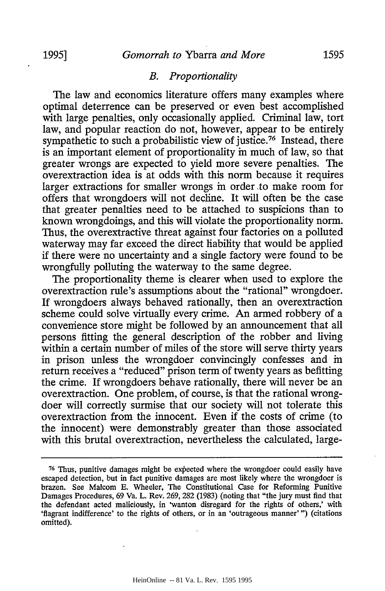## *B. Proportionality*

The law and economics literature offers many examples where optimal deterrence can be preserved or even best accomplished with large penalties, only occasionally applied. Criminal law, tort law, and popular reaction do not, however, appear to be entirely sympathetic to such a probabilistic view of justice.<sup>76</sup> Instead, there is an important element of proportionality in much of law, so that greater wrongs are expected to yield more severe penalties. The overextraction idea is at odds with this norm because it requires larger extractions for smaller wrongs in order to make room for offers that wrongdoers will not decline. It will often be the case that greater penalties need to be attached to suspicions than to known wrongdoings, and this will violate the proportionality norm. Thus, the overextractive threat against four factories on a polluted waterway may far exceed the direct liability that would be applied if there were no uncertainty and a single factory were found to be wrongfully polluting the waterway to the same degree.

The proportionality theme is clearer when used to explore the overextraction rule's assumptions about the "rational" wrongdoer. If wrongdoers always behaved rationally, then an overextraction scheme could solve virtually every crime. An armed robbery of a convenience store might be followed by an announcement that all persons fitting the general description of the robber and living within a certain number of miles of the store will serve thirty years in prison unless the wrongdoer convincingly confesses and in return receives a "reduced" prison term of twenty years as befitting the crime. If wrongdoers behave rationally, there will never be an overextraction. One problem, of course, is that the rational wrongdoer will correctly surmise that our society will not tolerate this overextraction from the innocent. Even if the costs of crime (to the innocent) were demonstrably greater than those associated with this brutal overextraction, nevertheless the calculated, large-

**<sup>76</sup>**Thus, punitive damages might be expected where the wrongdoer could easily have escaped detection, but in fact punitive damages are most likely where the wrongdoer is brazen. See Malcom E. Wheeler, The Constitutional Case for Reforming Punitive Damages Procedures, 69 Va. L. Rev. 269, 282 (1983) (noting that "the jury must find that the defendant acted maliciously, in 'wanton disregard for the rights of others,' with 'flagrant indifference' to the rights of others, or in an 'outrageous manner' **")** (citations omitted).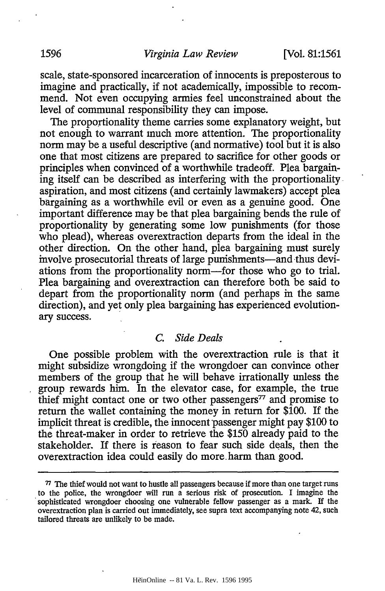scale, state-sponsored incarceration of innocents is preposterous to imagine and practically, if not academically, impossible to recommend. Not even occupying armies feel unconstrained about the level of communal responsibility they can impose.

The proportionality theme carries some explanatory weight, but not enough to warrant much more attention. The proportionality norm may be a useful descriptive (and normative) tool but it is also one that most citizens are prepared to sacrifice for other goods or principles when convinced of a worthwhile tradeoff. Plea bargaining itself can be described as interfering with the proportionality aspiration, and most citizens (and certainly lawmakers) accept plea bargaining as a worthwhile evil or even as a genuine good. One important difference may be that plea bargaining bends the rule of proportionality by generating some low punishments (for those who plead), whereas overextraction departs from the ideal in the other direction. On the other hand, plea bargaining must surely involve prosecutorial threats of large pumshments—and thus deviations from the proportionality norm-for those who go to trial. Plea bargaining and overextraction can therefore both be said to depart from the proportionality norm (and perhaps in the same direction), and yet only plea bargaining has experienced evolutionary success.

#### *C. Side Deals*

One possible problem with the overextraction rule is that it might subsidize wrongdoing if the wrongdoer can convince other members of the group that he will behave irrationally unless the group rewards him. In the elevator case, for example, the true thief might contact one or two other passengers $77$  and promise to return the wallet containing the money in return for \$100. If the implicit threat is credible, the innocent passenger might pay \$100 to the threat-maker in order to retrieve the \$150 already paid to the stakeholder. If there is reason to fear such side deals, then the overextraction idea could easily do more harm than good.

**<sup>77</sup>**The thief would not want to hustle all passengers because if more than one target runs to the police, the wrongdoer will run a serious risk of prosecution. I imagine the sophisticated wrongdoer choosing one vulnerable fellow passenger as a mark. If the overextraction plan is carried out immediately, see supra text accompanying note 42, such tailored threats are unlikely to be made.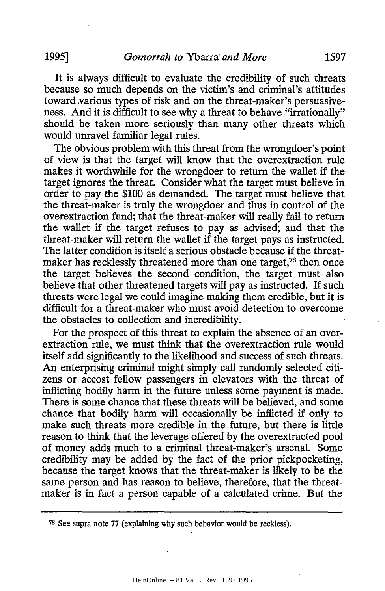It is always difficult to evaluate the credibility of such threats because so much depends on the victim's and criminal's attitudes toward various types of risk and on the threat-maker's persuasiveness. And it is difficult to see why a threat to behave "irrationally" should be taken more seriously than many other threats which would unravel familiar legal rules.

The obvious problem with this threat from the wrongdoer's point of view is that the target will know that the overextraction rule makes it worthwhile for the wrongdoer to return the wallet if the target ignores the threat. Consider what the target must believe in order to pay the \$100 as demanded. The target must believe that the threat-maker is truly the wrongdoer and thus in control of the overextraction fund; that the threat-maker will really fail to return the wallet if the target refuses to pay as advised; and that the threat-maker will return the wallet if the target pays as instructed. The latter condition is itself a serious obstacle because if the threatmaker has recklessly threatened more than one target,<sup>78</sup> then once the target believes the second condition, the target must also believe that other threatened targets will pay as instructed. If such threats were legal we could imagine making them credible, but it is difficult for a threat-maker who must avoid detection to overcome the obstacles to collection and incredibility.

For the prospect of this threat to explain the absence of an overextraction rule, we must think that the overextraction rule would itself add significantly to the likelihood and success of such threats. An enterprising criminal might simply call randomly selected citizens or accost fellow passengers in elevators with the threat of inflicting bodily harm in the future unless some payment is made. There is some chance that these threats will be believed, and some chance that bodily harm will occasionally be inflicted if only to make such threats more credible in the future, but there is little reason to think that the leverage offered by the overextracted pool of money adds much to a criminal threat-maker's arsenal. Some credibility may be added by the fact of the prior pickpocketing, because the target knows that the threat-maker is likely to be the same person and has reason to believe, therefore, that the threatmaker is in fact a person capable of a calculated crime. But the

**<sup>78</sup>**See. supra note 77 (explaining why such behavior would be reckless).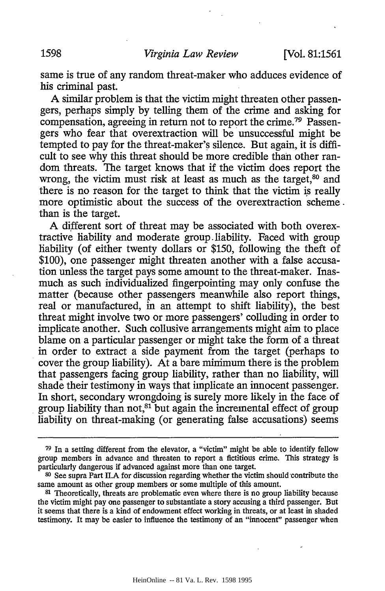same is true of any random threat-maker who adduces evidence of his criminal past.

A similar problem is that the victim might threaten other passengers, perhaps simply by telling them of the crime and asking for compensation, agreeing in return not to report the crime.<sup>79</sup> Passengers who fear that overextraction will be unsuccessful might be tempted to pay for the threat-maker's silence. But again, it is difficult to see why this threat should be more credible than other random threats. The target knows that if the victim does report the wrong, the victim must risk at least as much as the target, $80$  and there is no reason for the target to think that the victim is really more optimistic about the success of the overextraction scheme. than is the target.

A different sort of threat may be associated with both overextractive liability and moderate group. liability. Faced with group liability (of either twenty dollars or \$150, following the theft of \$100), one passenger might threaten another with a false accusation unless the target pays some amount to the threat-maker. Inasmuch as such individualized fingerpointing may only confuse the matter (because other passengers meanwhile also report things, real or manufactured, in an attempt to shift liability), the best threat might involve two or more passengers' colluding in order to implicate another. Such collusive arrangements might aim to place blame on a particular passenger or might take the form of a threat in order to extract a side payment from the target (perhaps to cover the group liability). At a bare minimum there is the problem that passengers facing group liability, rather than no liability, will shade their testimony in ways that implicate an innocent passenger. In short, secondary wrongdoing is surely more likely in the face of group liability than not,<sup>81</sup> but again the incremental effect of group liability on threat-making (or generating false accusations) seems

**<sup>79</sup>**In a setting different from the elevator, a "victim" might be able to identify fellow group members in advance and threaten to report a fictitious crime. This strategy is particularly dangerous if advanced against more than one target.

**<sup>80</sup>**See supra Part II.A for discussion regarding whether the victim should contribute the same amount as other group members or some multiple of this amount.

**<sup>81</sup>**Theoretically, threats are problematic even where there is no group liability because the victim might pay one passenger to substantiate a story accusing a third passenger. But it seems that there is a kind of endowment effect working in threats, or at least in shaded testimony. It may be easier to influence the testimony of an "innocent" passenger when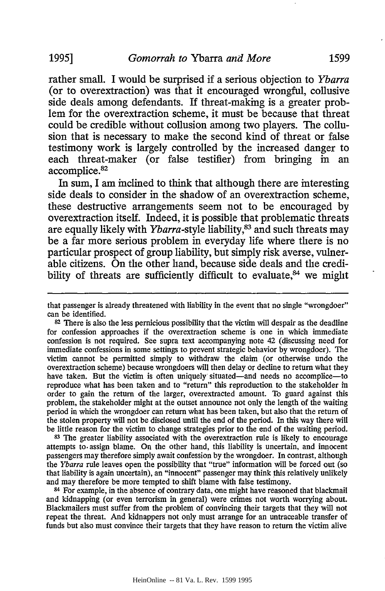rather small. I would be surprised if a serious objection to *Ybarra* (or to overextraction) was that it encouraged wrongful, collusive side deals among defendants. If threat-making is a greater problem for the overextraction scheme, it must be because that threat could be credible without collusion among two players. The collusion that is necessary to make the second kind of threat or false testimony work is largely controlled by the increased danger to each threat-maker (or false testifier) from bringing in an accomplice.<sup>82</sup>

In sum, I am inclined to think that although there are interesting side deals to consider in the shadow of an overextraction scheme, these destructive arrangements seem not to be encouraged by overextraction itself. Indeed, it is possible that problematic threats are equally likely with *Ybarra-style* liability,83 and such threats may be a far more serious problem in everyday life where there is no particular prospect of group liability, but simply risk averse, vulnerable citizens. On the other hand, because side deals and the credibility of threats are sufficiently difficult to evaluate,<sup>84</sup> we might

**<sup>83</sup>**The greater liability associated with the overextraction rule is likely to encourage attempts to. assign blame. On the other hand, this liability is uncertain, and innocent passengers may therefore simply await confession by the wrongdoer. In contrast, although the *Ybarra* rule leaves open the possibility that "true" information will be forced out (so that liability is again uncertain), an "innocent" passenger may think this relatively unlikely and may therefore be more tempted to shift blame with false testimony.

84 For example, in the absence of contrary data, one might have reasoned that blackmail and kidnapping (or even terrorism in general) were crimes not worth worrying about. Blackmailers must suffer from the problem of convincing their targets that they will not repeat the threat. And kidnappers not only must arrange for an untraceable transfer of funds but also must convince their targets that they have reason to return the victim alive

that passenger is already threatened with liability in the event that no single "wrongdoer" can be identified.

**<sup>82</sup>**There is also the less pernicious possibility that the victim will despair as the deadline for confession approaches if the overextraction scheme is one in which immediate confession is not required. See supra text accompanying note 42 (discussing need for immediate confessions in some settings to prevent strategic behavior by wrongdoer). The victim cannot be permitted simply to withdraw the claim (or otherwise undo the overextraction scheme) because wrongdoers will then delay or decline to return what they have taken. But the victim is often uniquely situated—and needs no accomplice—to reproduce what has been taken and to "return" this reproduction to the stakeholder in order to gain the return of the larger, overextracted amount. To guard against this problem, the stakeholder might at the outset announce not only the length of the waiting period in which the wrongdoer can return what has been taken, but also that the return of the stolen property will not be disclosed until the end of the period. In this way there will be little reason for the victim to change strategies prior to the end of the waiting period.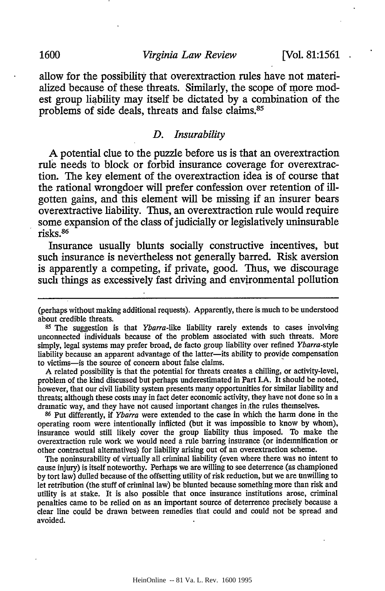#### *Virginia Law Review* [Vol. **81:1561**

allow for the possibility that overextraction rules have not materialized because of these threats. Similarly, the scope of more modest group liability may itself be dictated **by** a combination of the problems of side deals, threats and false claims.<sup>85</sup>

#### *D. Insurability*

A potential clue to the puzzle before us is that an overextraction rule needs to block or forbid insurance coverage for overextraction. The key element of the overextraction idea is of course that the rational wrongdoer will prefer confession over retention of illgotten gains, and this element will be missing if an insurer bears overextractive liability. Thus, an overextraction rule would require some expansion of the class of judicially or legislatively uninsurable risks.<sup>86</sup>

Insurance usually blunts socially constructive incentives, but such insurance is nevertheless not generally barred. Risk aversion is apparently a competing, if private, good. Thus, we discourage such things as excessively fast driving and environmental pollution

A related possibility is that the potential for threats creates a chilling, or activity-level, problem of the kind discussed but perhaps underestimated in Part **I.A.** It should be noted, however, that our civil liability system presents many opportunities for similar liability and threats; although these costs may in fact deter economic activity, they have not done so in a dramatic way, and they have not caused important changes in the rules themselves.

**<sup>86</sup>**Put differently, if *Ybarra* were extended to the case in which the harm done in the operating room were intentionally inflicted (but it was impossible to know by whom), insurance would still likely cover the group liability thus imposed. To make the overextraction rule work we would need a rule barring insurance (or indemnification or other contractual alternatives) for liability arising out of an overextraction scheme.

The noninsurability of virtually all criminal liability (even where there was no intent to cause injury) is itself noteworthy. Perhaps we are willing to see deterrence (as championed by tort law) dulled because of the offsetting utility of risk reduction, but we are tnwilling to let retribution (the stuff of criminal law) be blunted because something more than risk and utility is at stake. It is also possible that once insurance institutions arose, criminal penalties came to be relied on as an important source of deterrence precisely because a clear line could be drawn between remedies that could and could not be spread and avoided.

<sup>(</sup>perhaps without making additional requests). Apparently, there is much to be understood about credible threats.

**<sup>85</sup>**The suggestion is that *Ybarra-like* liability rarely extends to cases involving unconnected individuals because of the problem associated with such threats. More simply, legal systems may prefer broad, de facto group liability over refined *Ybarra-style* liability because an apparent advantage of the latter-its ability to provide compensation to victims-is the source of concern about false claims.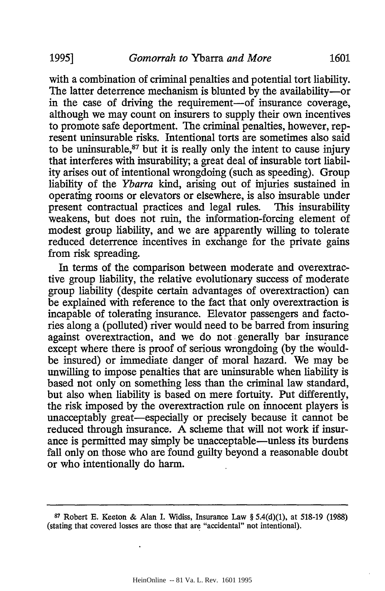with a combination of criminal penalties and potential tort liability. The latter deterrence mechanism is blunted by the availability-or in the case of driving the requirement-of insurance coverage, although we may count on insurers to supply their own incentives to promote safe deportment. The criminal penalties, however, represent uninsurable risks. Intentional torts are sometimes also said to be uninsurable,87 but it is really only the intent to cause injury that interferes with insurability; a great deal of insurable tort liability arises out of intentional wrongdoing (such as speeding). Group liability of the *Ybarra* kind, arising out of injuries sustained in operating rooms or elevators or elsewhere, is also insurable under present contractual practices and legal rules. This insurability weakens, but does not ruin, the information-forcing element of modest group liability, and we are apparently willing to tolerate reduced deterrence incentives in exchange for the private gains from risk spreading.

In terms of the comparison between moderate and overextractive group liability, the relative evolutionary success of moderate group liability (despite certain advantages of overextraction) can be explained with reference to the fact that only overextraction is incapable of tolerating insurance. Elevator passengers and factories along a (polluted) river would need to be barred from insuring against overextraction, and we do not generally bar insurance except where there is proof of serious wrongdoing (by the wouldbe insured) or immediate danger of moral hazard. We may be unwilling to impose penalties that are uninsurable when liability is based not only on something less than the criminal law standard, but also when liability is based on mere fortuity. Put differently, the risk imposed by the overextraction rule on innocent players is unacceptably great-especially or precisely because it cannot be reduced through insurance. A scheme that will not work if insurance is permitted may simply be unacceptable—unless its burdens fall only on those who are found guilty beyond a reasonable doubt or who intentionally do harm.

**<sup>87</sup>**Robert **E.** Keeton & Alan I. Widiss, Insurance Law § 5A(d)(1), at 518-19 (1988) (stating that covered losses are those that are "accidental" not intentional).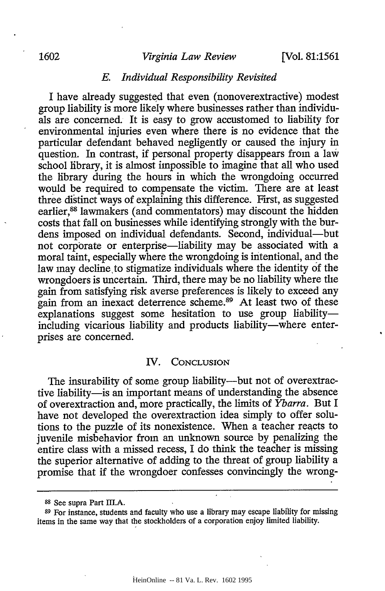## *Virginia Law Review* **1602** [Vol. **81:1561**

## *E. Individual Responsibility Revisited*

I have already suggested that even (nonoverextractive) modest group liability is more likely where businesses rather than individuals are concerned. It is easy to grow accustomed to liability for environmental injuries even where there is no evidence that the particular defendant behaved negligently or caused the injury in question. In contrast, if personal property disappears from a law school library, it is almost impossible to imagine that all who used the library during the hours in which the wrongdoing occurred would be required to compensate the victim. There are at least three distinct ways of explaining this difference. First, as suggested earlier,<sup>88</sup> lawmakers (and commentators) may discount the hidden costs that fall on businesses while identifying strongly with the burdens imposed on individual defendants. Second, individual-but not corporate or enterprise—liability may be associated with a moral taint, especially where the wrongdoing is intentional, and the law may decline to stigmatize individuals where the identity of the wrongdoers is uncertain. Third, there may be no liability where the gain from satisfying risk averse preferences is likely to exceed any gain from subset in a street processes.<sup>89</sup> At least two of these explanations suggest some hesitation to use group liabilityincluding vicarious liability and products liability-where enterprises are concerned.

#### IV. **CONCLUSION**

The insurability of some group liability—but not of overextractive liability-is an important means of understanding the absence of overextraction and, more practically, the limits of *Ybarra.* But I have not developed the overextraction idea simply to offer solutions to the puzzle of its nonexistence. When a teacher reacts to juvenile misbehavior from an unknown source by penalizing the entire class with a missed recess, I do think the teacher is missing the superior alternative of adding to the threat of group liability a promise that if the wrongdoer confesses convincingly the wrong-

<sup>88</sup> See supra Part III.A.

**<sup>89</sup>**For instance, students and faculty who use a library may escape liability for missing items in the same way that the stockholders of a corporation enjoy limited liability.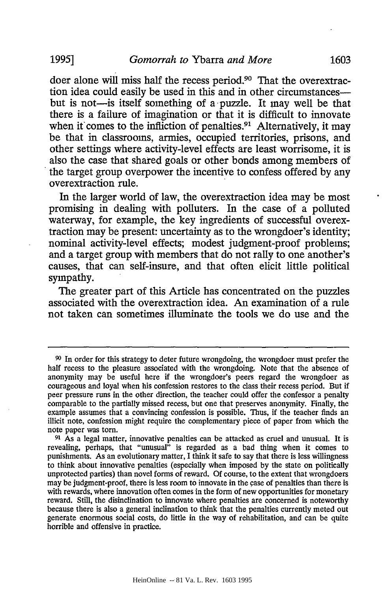doer alone will miss half the recess period.90 That the overextraction idea could easily be used in this and in other circumstancesbut is not—is itself something of a puzzle. It may well be that there is a failure of imagination or that it is difficult to innovate when it comes to the infliction of penalties.<sup>91</sup> Alternatively, it may be that in classrooms, armies, occupied territories, prisons, and other settings where activity-level effects are least worrisome, it is also the case that shared goals or other bonds among members of the target group overpower the incentive to confess offered **by** any overextraction rule.

In the larger world of law, the overextraction idea may be most promising in dealing with polluters. In the case of a polluted waterway, for example, the key ingredients of successful overextraction may be present: uncertainty as to the wrongdoer's identity; nominal activity-level effects; modest judgment-proof problems; and a target group with members that do not rally to one another's causes, that can self-insure, and that often elicit little political sympathy.

The greater part of this Article has concentrated on the puzzles associated with the overextraction idea. **An** examination of a rule not taken can sometimes illuminate the tools we do use and the

**<sup>91</sup>**As a legal matter, innovative penalties can be attacked as cruel and unusual. It is revealing, perhaps, that "unusual" is regarded as a bad thing when it comes to punishments. As an evolutionary matter, I think it safe to say that there is less willingness to think about innovative penalties (especially when imposed by the state on politically unprotected parties) than novel forms of reward. Of course, to the extent that wrongdoers may be judgment-proof, there is less room to innovate in the case of penalties than there is with rewards, where innovation often comes in the form of new opportunities for monetary reward. Still, the disinclination to innovate where penalties are concerned is noteworthy because there is also a general inclination to think that the penalties currently meted out generate enormous social costs, do little in the way of rehabilitation, and can be quite horrible and offensive in practice.

**<sup>90</sup>**In order for this strategy to deter future wrongdoing, the wrongdoer must prefer the half recess to the pleasure associated with the wrongdoing. Note that the absence of anonymity may be useful here if the wrongdoer's peers regard the wrongdoer as courageous and loyal when his confession restores to the class their recess period. But if peer pressure runs in the other direction, the teacher could offer the confessor a penalty comparable to the partially missed recess, but one that preserves anonymity. Finally, the example assumes that a convincing confession is possible. Thus, if the teacher finds an illicit note, confession might require the complementary piece of paper from which the note paper was torn.